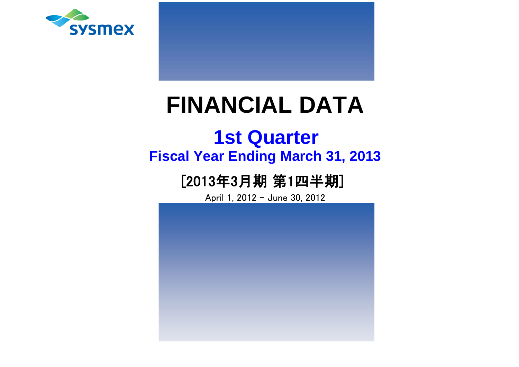

# **FINANCIAL DATA**

# **Fiscal Year Ending March 31, 2013 1st Quarter**

# [2013年3月期 第1四半期]

April 1, 2012 - June 30, 2012

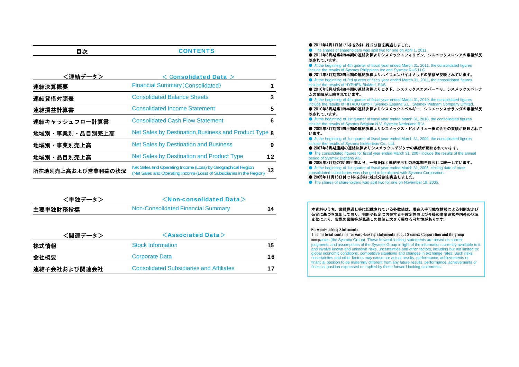| 目次                | <b>CONTENTS</b>                                                                                                                       |    |
|-------------------|---------------------------------------------------------------------------------------------------------------------------------------|----|
|                   |                                                                                                                                       |    |
| <連結データ>           | Consolidated Data $>$                                                                                                                 |    |
| 連結決算概要            | <b>Financial Summary (Consolidated)</b>                                                                                               | 1  |
| 連結貸借対照表           | <b>Consolidated Balance Sheets</b>                                                                                                    | 3  |
| 連結損益計算書           | <b>Consolidated Income Statement</b>                                                                                                  | 5  |
| 連結キャッシュフロー計算書     | <b>Consolidated Cash Flow Statement</b>                                                                                               | 6  |
| 地域別·事業別·品目別売上高    | Net Sales by Destination, Business and Product Type 8                                                                                 |    |
| 地域別·事業別売上高        | <b>Net Sales by Destination and Business</b>                                                                                          | 9  |
| 地域別·品目別売上高        | <b>Net Sales by Destination and Product Type</b>                                                                                      | 12 |
| 所在地別売上高および営業利益の状況 | Net Sales and Operating Income (Loss) by Geographical Region<br>(Net Sales and Operating Income (Loss) of Subsidiaries in the Region) | 13 |

| <単独データ>  | $\le$ Non-consolidated Data $>$    |    |
|----------|------------------------------------|----|
| 主要単独財務指標 | Non-Consolidated Financial Summary | 14 |

| <関連データ>      | $\leq$ Associated Data $>$                      |    |
|--------------|-------------------------------------------------|----|
| 株式情報         | <b>Stock Information</b>                        | 15 |
| 会社概要         | <b>Corporate Data</b>                           | 16 |
| 連結子会社および関連会社 | <b>Consolidated Subsidiaries and Affiliates</b> | 17 |

● 2011年4月1日付で1株を2株に株式分割を実施しました。

● The shares of shareholders was split two for one on April 1, 2011. ● 2011年3月期第4四半期の連結決算よりシスメックスフィリピン、シスメックスロシアの業績が反 映されています。

● At the beginning of 4th quarter of fiscal year ended March 31, 2011, the consolidated figures include the results of Sysmex Philippines Inc and Sysmex RUS LLC.

● 2011年3月期第3四半期の連結決算よりハイフェンバイオメッドの業績が反映されています。 ● At the beginning of 3rd quarter of fiscal year ended March 31, 2011, the consolidated figures include the results of HYPHEN BioMed, SAS.

● 2010年3月期第4四半期の連結決算よりヒタド、シスメックスエスパーニャ、シスメックスベトナ ムの業績が反映されています。

● At the beginning of 4th quarter of fiscal year ended March 31, 2010, the consolidated figures include the results of HITADO GmbH, Sysmex Espana S.L., Sysmex Vietnam Company Limited. ● 2010年3月期第1四半期の連結決算よりシスメックスベルギー、シスメックスオランダの業績が反 映されています。

● At the beginning of 1st quarter of fiscal year ended March 31, 2010, the consolidated figures include the results of Sysmex Belgium N.V. Sysmex Nederland B.V.

● 2009年3月期第1四半期の連結決算よりシスメックス・ビオメリュー株式会社の業績が反映されて います。

● At the beginning of 1st quarter of fiscal year ended March 31, 2009, the consolidated figures include the results of Sysmex bioMerieux Co., Ltd.

● 2007年3月期通期の連結決算よりシスメックスデジタナの業績が反映されています。

● The consolidated figures for fiscal year ended March 31, 2007 include the results of the annual period of Sysmex Digitana AG.

● 2006年3月期の第1四半期より、一部を除く連結子会社の決算期を親会社に統一しています。

● At the beginning of 1st quarter of fiscal year ended March 31, 2006, closing date of most

consolidated subsidiaries was changed to be aligned with Sysmex Corporation.

● 2005年11月18日付で1株を2株に株式分割を実施しました。

● The shares of shareholders was split two for one on November 18, 2005.

本資料のうち、業績見通し等に記載されている各数値は、現在入手可能な情報による判断および 仮定に基づき算出しており、判断や仮定に内在する不確定性および今後の事業運営や内外の状況変化により、実際の業績等が見通しの数値と大きく異なる可能性があります。

Forward-looking Statements

This material contains forward-looking statements about Sysmex Corporation and its group companies (the Sysmex Group). These forward-looking statements are based on current judgments and assumptions of the Sysmex Group in light of the information currently available to it, and involve known and unknown risks, uncertainties and other factors, including but not limited to: global economic conditions, competitive situations and changes in exchange rates. Such risks, uncertainties and other factors may cause our actual results, performance, achievements or financial position to be materially different from any future results, performance, achievements or financial position expressed or implied by these forward-looking statements.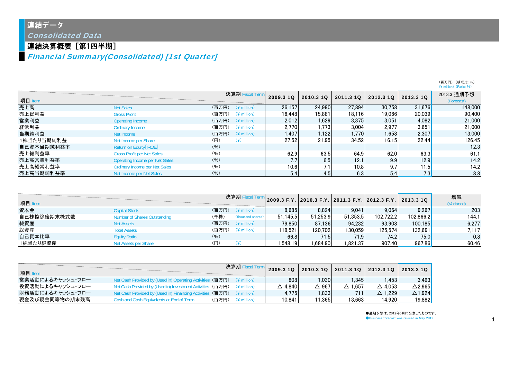連結データ

Consolidated Data

# 連結決算概要[第1四半期]

Financial Summary(Consolidated) [1st Quarter]

|            |                                       |       |                         |           |           |           |           |           | (百万円) (構成比:%)<br>$(\frac{1}{2})$ million $(\text{Ratio}: 96)$ |
|------------|---------------------------------------|-------|-------------------------|-----------|-----------|-----------|-----------|-----------|---------------------------------------------------------------|
| 項目 Item    |                                       |       | 決算期 Fiscal Term         | 2009.3 1Q | 2010.3 10 | 2011.3 10 | 2012.3 10 | 2013.3 10 | 2013.3 通期予想<br>(Forecast)                                     |
| 売上高        | <b>Net Sales</b>                      | (百万円) | $(*$ million)           | 26.157    | 24.990    | 27.894    | 30.758    | 31.676    | 148,000                                                       |
| 売上総利益      | <b>Gross Profit</b>                   | (百万円) | $(4$ million)           | 16.448    | 15,881    | 18,116    | 19.066    | 20,039    | 90,400                                                        |
| 営業利益       | Operating Income                      | (百万円) | $(\frac{2}{3})$ million | 2.012     | 1,629     | 3.375     | 3.051     | 4.082     | 21,000                                                        |
| 経常利益       | <b>Ordinary Income</b>                | (百万円) | $(4$ million)           | 2.770     | 1.773     | 3,004     | 2.977     | 3.651     | 21,000                                                        |
| 当期純利益      | Net Income                            | (百万円) | $(*$ million)           | 1.407     | 1,122     | 1.770     | 1.658     | 2.307     | 13,000                                                        |
| 1株当たり当期純利益 | Net Income per Share                  | (円)   | (¥)                     | 27.52     | 21.95     | 34.52     | 16.15     | 22.44     | 126.45                                                        |
| 自己資本当期純利益率 | Return on Equity [ROE]                | (96)  |                         |           |           |           |           |           | 12.3                                                          |
| 売上総利益率     | <b>Gross Profit per Net Sales</b>     | (96)  |                         | 62.9      | 63.5      | 64.9      | 62.0      | 63.3      | 61.1                                                          |
| 売上高営業利益率   | <b>Operating Income per Net Sales</b> | (96)  |                         | 7.7       | 6.5       | 12.1      | 9.9       | 12.9      | 14.2                                                          |
| 売上高経常利益率   | <b>Ordinary Income per Net Sales</b>  | (96)  |                         | 10.6      | 7.1       | 10.8      | 9.7       | 11.5      | 14.2                                                          |
| 売上高当期純利益率  | Net Income per Net Sales              | (96)  |                         | 5.4       | 4.5       | 6.3       | 5.4       | 7.3       | 8.8                                                           |

| 項目 Item     |                              |       | 決算期 Fiscal Terr   |          |          |          |           | 2009.3 F.Y. 2010.3 F.Y. 2011.3 F.Y. 2012.3 F.Y. |       | 2013.3 10 | 増減<br>(Variance) |
|-------------|------------------------------|-------|-------------------|----------|----------|----------|-----------|-------------------------------------------------|-------|-----------|------------------|
| 資本金         | <b>Capital Stock</b>         | (百万円) | $(*$ million)     | 8.685    | 8.824    | 9.041    | 9.064     | 9.267                                           | 203   |           |                  |
| 自己株控除後期末株式数 | Number of Shares Outstanding | (千株)  | (thousand shares) | 51.145.5 | 51.253.9 | 51.353.5 | 102.722.2 | 102.866.2                                       | 144.1 |           |                  |
| 純資産         | <b>Net Assets</b>            | (百万円) | $(*$ million)     | 79.850   | 87.136   | 94.232   | 93.908    | 100.185                                         | 6.277 |           |                  |
| 総資産         | <b>Total Assets</b>          | (百万円) | $(4$ million)     | 118.521  | 120.702  | 130.059  | 125.574   | 132.691)                                        | 7.117 |           |                  |
| 自己資本比率      | <b>Equity Ratio</b>          | (96)  |                   | 66.8     | 71.5     | 71.9     | 74.2      | 75.0                                            | 0.8   |           |                  |
| 1株当たり純資産    | Net Assets per Share         | (円)   |                   | .548.19  | .684.90  | 1.821.37 | 907.40    | 967.86                                          | 60.46 |           |                  |

| 項目 Item          |                                                      |                   | 決算期 Fiscal Tei        | 2009.3 10         | 2010.3 1Q       | 2011.3 10 | 2012.3 10         | 2013.3 10         |
|------------------|------------------------------------------------------|-------------------|-----------------------|-------------------|-----------------|-----------|-------------------|-------------------|
| 営業活動によるキャッシュ・フロー | Net Cash Provided by (Used in) Operating Activities  | (百万円) (\ million) |                       | 808               | 1.030           | .345      | .453              | 3.493             |
| 投資活動によるキャッシュ・フロー | Net Cash Provided by (Used in) Investment Activities | (百万円)             | (¥ million)           | $\triangle$ 4.840 | $\triangle$ 967 | △ 1.657   | $\Delta$ 4.0531   | $\triangle$ 2.965 |
| 財務活動によるキャッシュ・フロー | Net Cash Provided by (Used in) Financing Activities  | (百万円) (\million)  |                       | 4.775             | 1.833           | 711       | $\triangle$ 1.229 | $\triangle$ 1.924 |
| 現金及び現金同等物の期末残高   | Cash and Cash Equivalents at End of Term             | (百万円)             | $(4 \text{ million})$ | 10.841            | 11.365          | 13.663    | 14.920            | 19,882            |

●通期予想は、2012年5月に公表したものです。 **Business forecast was revised in May 2012.**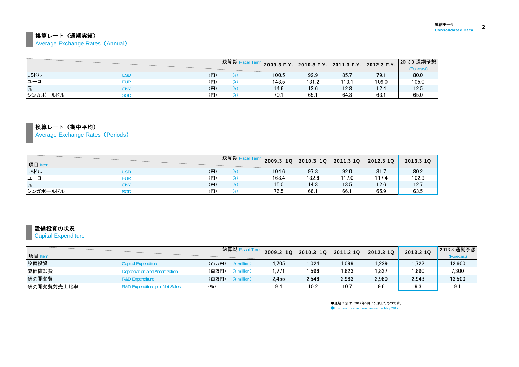### 換算レート(通期実績)

**Average Exchange Rates (Annual)** 

|              |            |     | 決算期F |       | 2009.3 F.Y. 2010.3 F.Y. 2011.3 F.Y. 2012.3 F.Y. |       |       | 2013.3 通期予想<br>(Forecast) |
|--------------|------------|-----|------|-------|-------------------------------------------------|-------|-------|---------------------------|
| <b>USFIL</b> | USD        | (H) | ¥)   | 100.5 | 92.9                                            | 85.7  | 79.1  | 80.0                      |
| ユーロ          | EUR        | (円) | ¥)   | 143.5 | 131.2                                           | 113.1 | 109.0 | 105.0                     |
| 元            | CNY        | (H) | ¥)   | 14.6  | 13.6                                            | 12.8  | 12.4  | 12.5                      |
| シンガポールドル     | <b>SGD</b> | (円) | Œ۱   | 70.1  | 65.1                                            | 64.3  | 63.   | 65.0                      |

### 換算レート(期中平均)

Average Exchange Rates (Periods)

| 項目 Iten      |     |     | 決算期F      | $2009.3$ 1Q | 2010.3 1Q 2011.3 1Q |       | 2012.3 1Q | 2013.310 |
|--------------|-----|-----|-----------|-------------|---------------------|-------|-----------|----------|
| <b>USFIL</b> | USD | (円) |           | 104.6       | 97.3                | 92.0  | 81.7      | 80.2     |
| ユーロ          | EUR | (円) | '¥۱       | 163.4       | 132.6               | 117.0 | 117.4     | 102.9    |
| 元            | CNY | (円) | (Y        | 15.0        | 14.3                | 13.5  | 12.6      | 12.7     |
| シンガポールドル     | SGD | (円) | $\lambda$ | 76.5        | 66.1                | 66.7  | 65.9      | 63.5     |

### 設備投資の状況

**Capital Expenditure** 

| 項目 Item    |                                          | 決算期 Fisca                         | 2009.3 10 | 2010.3 10 | 2011.3 10 | 2012.3 10 | 2013.3 10 | 2013.3 通期予想<br>(Forecast) |
|------------|------------------------------------------|-----------------------------------|-----------|-----------|-----------|-----------|-----------|---------------------------|
| 設備投資       | <b>Capital Expenditure</b>               | (百万円)<br>$(*)$ million            | 4.705     | .024      | 1.099     | .239      | 1.722     | 12,600                    |
| 減価償却費      | Depreciation and Amortization            | (百万円)<br>$(*)$ million)           | .771      | ,596      | .823      | . 827     | 1.890     | 7,300                     |
| 研究開発費      | <b>R&amp;D Expenditure</b>               | (百万円)<br>$(\frac{1}{2})$ million) | 2.455     | 2,546     | 2,983     | 2,960     | 2,943     | 13,500                    |
| 研究開発費対売上比率 | <b>R&amp;D Expenditure per Net Sales</b> | (96)                              | 9.4       | 10.2      | 10.7      | 9.6       | 9.3       | 9.1                       |

●通期予想は、2012年5月に公表したものです。 ●Business forecast was revised in May 2012.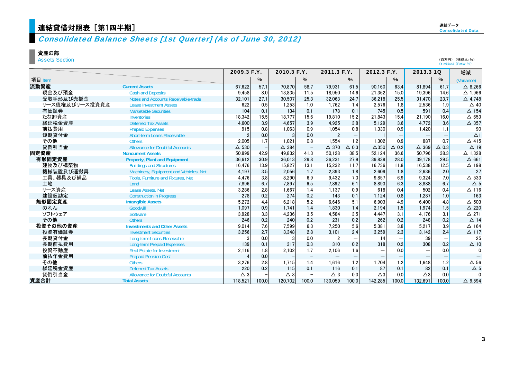## 連結 貸借対照表[

# Consolidated Balance Sheets [1st Quarter] (As of June 30, 2012)

### 資産の部

Assets Section

|                |                                        | 2009.3 F.Y.   |       | 2010.3 F.Y.     |       | 2011.3 F.Y.     |                          | 2012.3 F.Y.     |                 | 2013.3 1Q       |                 | 増減                |
|----------------|----------------------------------------|---------------|-------|-----------------|-------|-----------------|--------------------------|-----------------|-----------------|-----------------|-----------------|-------------------|
| 項目 Item        |                                        |               | $\%$  |                 | $\%$  |                 | $\%$                     |                 | %               |                 | $\%$            | (Variance)        |
| 流動資産           | <b>Current Assets</b>                  | 67,622        | 57.1  | 70.870          | 58.7  | 79.931          | 61.5                     | 90.160          | 63.4            | 81.894          | 61.7            | $\triangle$ 8.266 |
| 現金及び預金         | <b>Cash and Deposits</b>               | 9.458         | 8.0   | 13.835          | 11.5  | 18.950          | 14.6                     | 21.362          | 15.0            | 19.396          | 14.6            | $\Delta$ 1,966    |
| 受取手形及び売掛金      | Notes and Accounts Receivable-trade    | 32,101        | 27.1  | 30,507          | 25.3  | 32,063          | 24.7                     | 36,218          | 25.5            | 31,470          | 23.7            | $\triangle$ 4,748 |
| リース債権及びリース投資資産 | <b>Lease Investment Assets</b>         | 622           | 0.5   | 1,253           | 1.0   | 1,762           | 1.4                      | 2,576           | 1.8             | 2,536           | 1.9             | $\Delta$ 40       |
| 有価証券           | <b>Marketable Securities</b>           | 104           | 0.1   | 134             | 0.1   | 178             | 0.1                      | 745             | 0.5             | 591             | 0.4             | $\triangle$ 154   |
| たな卸資産          | Inventories                            | 18,342        | 15.5  | 18.777          | 15.6  | 19.810          | 15.2                     | 21.843          | 15.4            | 21.190          | 16.0            | $\triangle$ 653   |
| 繰延税金資産         | <b>Deferred Tax Assets</b>             | 4,600         | 3.9   | 4.657           | 3.9   | 4,925           | 3.8                      | 5.129           | 3.6             | 4.772           | 3.6             | $\Delta$ 357      |
| 前払費用           | <b>Prepaid Expenses</b>                | 915           | 0.8   | 1.063           | 0.9   | 1,054           | 0.8                      | 1,330           | 0.9             | 1.420           | 1.1             | 90                |
| 短期貸付金          | <b>Short-term Loans Receivable</b>     |               | 0.0   |                 | 0.0   | $\overline{2}$  |                          |                 |                 |                 |                 | $\Delta$ 1        |
| その他            | <b>Others</b>                          | 2,005         | 1.7   | 1.021           | 0.8   | 1.554           | 1.2                      | 1.302           | 0.9             | 887             | 0.7             | $\triangle$ 415   |
| 貸倒引当金          | <b>Allowance for Doubtful Accounts</b> | $\Delta$ 530  |       | $\triangle$ 384 |       | $\triangle$ 370 | $\triangle$ 0.3          | $\triangle 350$ | $\triangle$ 0.2 | $\triangle$ 369 | $\triangle$ 0.3 | $\triangle$ 19    |
| 固定資産           | <b>Noncurrent Assets</b>               | 50,899        | 42.9  | 49,832          | 41.3  | 50,128          | 38.5                     | 52,124          | 36.6            | 50,796          | 38.3            | $\Delta$ 1,328    |
| 有形固定資産         | <b>Property, Plant and Equipment</b>   | 36,612        | 30.9  | 36.013          | 29.8  | 36.231          | 27.9                     | 39.839          | 28.0            | 39.178          | 29.5            | $\Delta$ 661      |
| 建物及び構築物        | <b>Buildings and Structures</b>        | 16,476        | 13.9  | 15.827          | 13.1  | 15,232          | 11.7                     | 16,736          | 11.8            | 16,538          | 12.5            | $\Delta$ 198      |
| 機械装置及び運搬具      | Machinery, Equipment and Vehicles, Net | 4,197         | 3.5   | 2,056           | 1.7   | 2,393           | 1.8                      | 2,609           | 1.8             | 2,636           | 2.0             | 27                |
| 工具、器具及び備品      | Tools, Furniture and Fixtures, Net     | 4,476         | 3.8   | 8,290           | 6.9   | 9,432           | 7.3                      | 9,857           | 6.9             | 9,324           | 7.0             | $\Delta$ 533      |
| 土地             | Land                                   | 7,896         | 6.7   | 7.897           | 6.5   | 7.892           | 6.1                      | 8.893           | 6.3             | 8.888           | 6.7             | $\triangle$ 5     |
| リース資産          | Lease Assets, Net                      | 3,286         | 2.8   | 1.667           | 1.4   | 1.137           | 0.9                      | 618             | 0.4             | 502             | 0.4             | $\Delta$ 116      |
| 建設仮勘定          | <b>Construction in Progress</b>        | 278           | 0.2   | 274             | 0.2   | 143             | 0.1                      | 1.124           | 0.8             | 1.287           | 1.0             | 163               |
| 無形固定資産         | <b>Intangible Assets</b>               | 5,272         | 4.4   | 6.218           | 5.2   | 6.646           | 5.1                      | 6.903           | 4.9             | 6.400           | 4.8             | $\triangle$ 503   |
| のれん            | Goodwill                               | 1,097         | 0.9   | 1.741           | 1.4   | 1.830           | 1.4                      | 2.194           | 1.5             | 1.974           | 1.5             | $\triangle$ 220   |
| ソフトウェア         | Software                               | 3,928         | 3.3   | 4,236           | 3.5   | 4,584           | 3.5                      | 4,447           | 3.1             | 4,176           | 3.1             | $\triangle$ 271   |
| その他            | <b>Others</b>                          | 246           | 0.2   | 240             | 0.2   | 231             | 0.2                      | 262             | 0.2             | 248             | 0.2             | $\triangle$ 14    |
| 投資その他の資産       | <b>Investments and Other Assets</b>    | 9,014         | 7.6   | 7.599           | 6.3   | 7.250           | 5.6                      | 5.381           | 3.8             | 5.217           | 3.9             | $\triangle$ 164   |
| 投資有価証券         | <b>Investment Securities</b>           | 3,256         | 2.7   | 3.348           | 2.8   | 3,101           | 2.4                      | 3,259           | 2.3             | 3.142           | 2.4             | $\Delta$ 117      |
| 長期貸付金          | Long-term Loans Receivable             | 3             | 0.0   | 3               | 0.0   |                 |                          | 14              |                 | 39              |                 | 25                |
| 長期前払費用         | <b>Long-term Prepaid Expenses</b>      | 139           | 0.1   | 317             | 0.3   | 310             | 0.2                      | 318             | 0.2             | 308             | 0.2             | $\Delta$ 10       |
| 投資不動産          | <b>Real Estate for Investment</b>      | 2,116         | 1.8   | 2.102           | 1.7   | 2.106           | 1.6                      |                 | 0.0             |                 | 0.0             | $\Omega$          |
| 前払年金費用         | <b>Prepaid Pension Cost</b>            |               | 0.0   |                 |       |                 | $\overline{\phantom{m}}$ |                 |                 |                 |                 |                   |
| その他            | <b>Others</b>                          | 3,276         | 2.8   | 1.715           | 1.4   | 1.616           | 1.2                      | 1.704           | 1.2             | 1,648           | 1.2             | $\Delta$ 56       |
| 繰延税金資産         | <b>Deferred Tax Assets</b>             | 220           | 0.2   | 115             | 0.1   | 116             | 0.1                      | 87              | 0.1             | 82              | 0.1             | $\Delta$ 5        |
| 貸倒引当金          | <b>Allowance for Doubtful Accounts</b> | $\triangle$ 3 |       | $\triangle$ 3   |       | $\triangle$ 3   | 0.0                      | $\triangle 3$   | 0.0             | $\triangle 3$   | 0.0             | $\Omega$          |
| 資産合計           | <b>Total Assets</b>                    | 118,521       | 100.0 | 120.702         | 100.0 | 130.059         | 100.0                    | 142,285         | 100.0           | 132.691         | 100.0           | $\triangle$ 9.594 |

(百万円) (構成比:%)<br>(¥ million) (Ratio:%)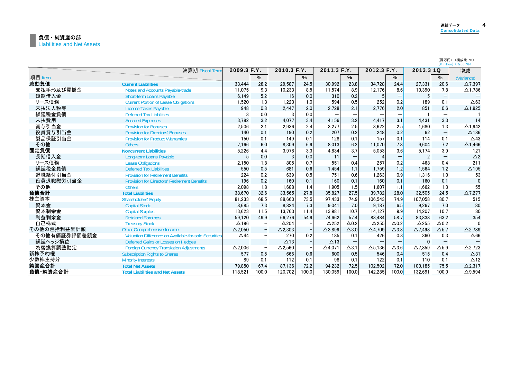|              | 決算期 Fiscal Term                                       | 2009.3 F.Y.    |       | 2010.3 F.Y.     |                          | 2011.3 F.Y.     |                 | 2012.3 F.Y.     |                 | 2013.3 1Q       |                                 | 増減                |
|--------------|-------------------------------------------------------|----------------|-------|-----------------|--------------------------|-----------------|-----------------|-----------------|-----------------|-----------------|---------------------------------|-------------------|
| 項目 Item      |                                                       |                | $\%$  |                 | $\%$                     |                 | %               |                 | $\%$            |                 | $\%$                            | (Variance)        |
| 流動負債         | <b>Current Liabilities</b>                            | 33.444         | 28.2  | 29,587          | 24.5                     | 30.992          | 23.8            | 34.728          | 24.4            | 27,331          | 20.6                            | $\Delta$ 7.397    |
| 支払手形及び買掛金    | Notes and Accounts Payable-trade                      | 11.075         | 9.3   | 10.233          | 8.5                      | 11.574          | 8.9             | 12.176          | 8.6             | 10,390          | 7.8                             | $\Delta$ 1.786    |
| 短期借入金        | <b>Short-term Loans Payable</b>                       | 6,149          | 5.2   | 16              | 0.0                      | 310             | 0.2             | 5               |                 |                 |                                 |                   |
| リース債務        | <b>Current Portion of Lease Obligations</b>           | 1.520          | 1.3   | 1.223           | 1.0                      | 594             | 0.5             | 252             | 0.2             | 189             | 0.1                             | $\triangle 63$    |
| 未払法人税等       | <b>Income Taxes Pavable</b>                           | 948            | 0.8   | 2.447           | 2.0                      | 2.728           | 2.1             | 2.776           | 2.0             | 851             | 0.6                             | $\Delta$ 1,925    |
| 繰延税金負債       | <b>Deferred Tax Liabilities</b>                       |                | 0.0   |                 | 0.0                      |                 |                 |                 |                 |                 |                                 |                   |
| 未払費用         | <b>Accrued Expenses</b>                               | 3,782          | 3.2   | 4.077           | 3.4                      | 4.156           | 3.2             | 4.417           | 3.1             | 4,431           | 3.3                             | 14                |
| 賞与引当金        | <b>Provision for Bonuses</b>                          | 2,506          | 2.1   | 2.936           | 2.4                      | 3,277           | 2.5             | 3.622           | 2.5             | 1,680           | 1.3                             | $\Delta$ 1,942    |
| 役員賞与引当金      | <b>Provision for Directors' Bonuses</b>               | 140            | 0.1   | 190             | 0.2                      | 207             | 0.2             | 248             | 0.2             | 62              | $\qquad \qquad -$               | $\Delta$ 186      |
| 製品保証引当金      | <b>Provision for Product Warranties</b>               | 150            | 0.1   | 149             | 0.1                      | 128             | 0.1             | 157             | 0.1             | 114             | 0.1                             | $\triangle$ 43    |
| その他          | <b>Others</b>                                         | 7,166          | 6.0   | 8.309           | 6.9                      | 8,013           | 6.2             | 11.070          | 7.8             | 9.604           | 7.2                             | $\Delta$ 1,466    |
| 固定負債         | <b>Noncurrent Liabilities</b>                         | 5,226          | 4.4   | 3.978           | 3.3                      | 4.834           | 3.7             | 5.053           | 3.6             | 5.174           | 3.9                             | 121               |
| 長期借入金        | Long-term Loans Payable                               | 5              | 0.0   | 3               | 0.0                      | 11              |                 |                 |                 |                 | $\hspace{0.1mm}-\hspace{0.1mm}$ | $\triangle$ 2     |
| リース債務        | <b>Lease Obligations</b>                              | 2,150          | 1.8   | 805             | 0.7                      | 551             | 0.4             | 257             | 0.2             | 468             | 0.4                             | 211               |
| 繰延税金負債       | <b>Deferred Tax Liabilities</b>                       | 550            | 0.5   | 681             | 0.6                      | 1.454           | 1.1             | 1.759           | 1.2             | 1.564           | 1.2                             | $\triangle$ 195   |
| 退職給付引当金      | <b>Provision for Retirement Benefits</b>              | 224            | 0.2   | 639             | 0.5                      | 751             | 0.6             | 1.263           | 0.9             | 1.316           | 1.0                             | 53                |
| 役員退職慰労引当金    | <b>Provision for Directors' Retirement Benefits</b>   | 196            | 0.2   | 160             | 0.1                      | 160             | 0.1             | 160             | 0.1             | 160             | 0.1                             | $\Omega$          |
| その他          | <b>Others</b>                                         | 2,098          | 1.8   | 1.688           | 1.4                      | 1.905           | 1.5             | 1.607           | 1.1             | 1.662           | 1.3                             | 55                |
| 負債合計         | <b>Total Liabilities</b>                              | 38.670         | 32.6  | 33.565          | 27.8                     | 35.827          | 27.5            | 39.782          | 28.0            | 32.505          | 24.5                            | $\Delta$ 7,277    |
| 株主資本         | <b>Shareholders' Equity</b>                           | 81.233         | 68.5  | 88.660          | 73.5                     | 97.433          | 74.9            | 106.543         | 74.9            | 107.058         | 80.7                            | 515               |
| 資本金          | <b>Capital Stock</b>                                  | 8.685          | 7.3   | 8.824           | 7.3                      | 9.041           | 7.0             | 9.187           | 6.5             | 9.267           | 7.0                             | 80                |
| 資本剰余金        | <b>Capital Surplus</b>                                | 13,623         | 11.5  | 13.763          | 11.4                     | 13.981          | 10.7            | 14,127          | 9.9             | 14.207          | 10.7                            | 80                |
| 利益剰余金        | <b>Retained Earnings</b>                              | 59.120         | 49.9  | 66.276          | 54.9                     | 74.662          | 57.4            | 83.484          | 58.7            | 83.838          | 63.2                            | 354               |
| 自己株式         | <b>Treasury Stock</b>                                 | $\Delta$ 196   |       | $\triangle$ 204 |                          | $\triangle$ 252 | $\Delta$ 0.2    | $\triangle$ 255 | $\Delta$ 0.2    | $\triangle$ 255 | $\Delta$ 0.2                    | $\Omega$          |
| その他の包括利益累計額  | Other Comprehensive Income                            | $\Delta$ 2,050 |       | $\Delta$ 2,303  | $\overline{\phantom{a}}$ | $\Delta$ 3,899  | $\triangle$ 3.0 | $\Delta$ 4,709  | $\triangle$ 3.3 | $\Delta$ 7.498  | $\Delta$ 5.7                    | $\Delta$ 2,789    |
| その他有価証券評価差額金 | Valuation Difference on Available-for-sale Securities | $\triangle$ 44 |       | 270             | 0.2                      | 185             | 0.1             | 426             | 0.3             | 360             | 0.3                             | $\Delta 66$       |
| 繰延ヘッジ損益      | Deferred Gains or Losses on Hedges                    |                |       | $\Delta$ 13     |                          | $\Delta$ 13     |                 |                 |                 |                 |                                 |                   |
| 為替換算調整勘定     | <b>Foreign Currency Translation Adjustments</b>       | $\Delta$ 2,006 |       | $\Delta$ 2,560  |                          | $\Delta$ 4,071  | $\Delta$ 3.1    | $\Delta$ 5,136  | $\Delta$ 3.6    | $\Delta$ 7,859  | $\Delta$ 5.9                    | $\Delta$ 2,723    |
| 新株予約権        | <b>Subscription Rights to Shares</b>                  | 577            | 0.5   | 666             | 0.6                      | 600             | 0.5             | 546             | 0.4             | 515             | 0.4                             | $\Delta$ 31       |
| 少数株主持分       | <b>Minority Interests</b>                             | 89             | 0.1   | 112             | 0.1                      | 98              | 0.1             | 122             | 0.1             | 110             | 0.1                             | $\triangle$ 12    |
| 純資産合計        | <b>Total Net Assets</b>                               | 79,850         | 67.4  | 87.136          | 72.2                     | 94,232          | 72.5            | 102,502         | 72.0            | 100.185         | 75.5                            | $\Delta$ 2.317    |
| 負債 純資産合計     | <b>Total Liabilities and Net Assets</b>               | 118.521        | 100.0 | 120.702         | 100.0                    | 130.059         | 100.0           | 142.285         | 100.0           | 132.691         | 100.0                           | $\triangle$ 9.594 |

(百万円) (構成比:%)<br>(¥ million) (Ratio:%)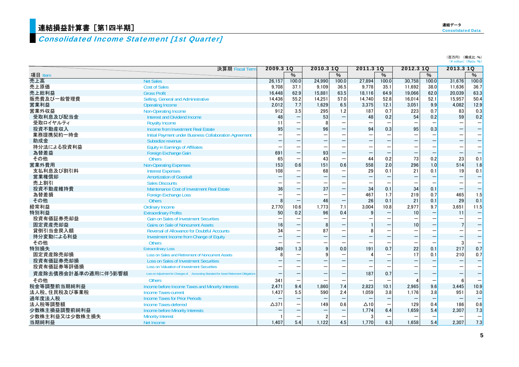# <mark>連結損益計算書[第1四半期]</mark>

# Consolidated Income Statement [1st Quarter]

|                     | 決算期 Fiscal Term                                                                        | 2009.3 1Q       |       | 2010.3 1Q                |       | 2011.3 1Q         |       | 2012.3 1Q                |       | 2013.3 1Q |                          |
|---------------------|----------------------------------------------------------------------------------------|-----------------|-------|--------------------------|-------|-------------------|-------|--------------------------|-------|-----------|--------------------------|
| 項目 Item             |                                                                                        |                 | $\%$  |                          | $\%$  |                   | $\%$  |                          | $\%$  |           | %                        |
| 売上高                 | <b>Net Sales</b>                                                                       | 26.157          | 100.0 | 24.990                   | 100.0 | 27.894            | 100.0 | 30.758                   | 100.0 | 31.676    | 100.0                    |
| 売上原価                | <b>Cost of Sales</b>                                                                   | 9.708           | 37.1  | 9.109                    | 36.5  | 9.778             | 35.1  | 11,692                   | 38.0  | 11.636    | 36.7                     |
| 売上総利益               | <b>Gross Profit</b>                                                                    | 16,448          | 62.9  | 15,881                   | 63.5  | 18,116            | 64.9  | 19,066                   | 62.0  | 20,039    | 63.3                     |
| 販売費及び一般管理費          | Selling, General and Administrative                                                    | 14,436          | 55.2  | 14,251                   | 57.0  | 14,740            | 52.8  | 16,014                   | 52.1  | 15.957    | 50.4                     |
| 営業利益                | <b>Operating Income</b>                                                                | 2.012           | 7.7   | 1.629                    | 6.5   | 3.375             | 12.1  | 3,051                    | 9.9   | 4.082     | 12.9                     |
| 営業外収益               | Non-Operating Income                                                                   | 912             | 3.5   | 295                      | 1.2   | 187               | 0.7   | 223                      | 0.7   | 83        | 0.3                      |
| 受取利息及び配当金           | <b>Interest and Dividend Income</b>                                                    | 48              | -     | 53                       |       | 48                | 0.2   | 54                       | 0.2   | 59        | 0.2                      |
| 受取ロイヤルティ            | <b>Royalty Income</b>                                                                  | 11              |       |                          | —     |                   |       |                          |       |           | $\qquad \qquad -$        |
| 投資不動産収入             | Income from Investment Real Estate                                                     | 95              |       | 96                       |       | 94                | 0.3   | 95                       | 0.3   |           | $\overline{\phantom{0}}$ |
| 業務提携契約一時金           | Initial Payment under Business Collaboration Agreement                                 |                 |       |                          |       |                   |       |                          |       |           | —                        |
| 助成金                 | Subsidize revenue                                                                      |                 |       |                          |       |                   |       |                          |       |           | $\overline{\phantom{0}}$ |
| 持分法による投資利益          | <b>Equity in Earnings of Affiliates</b>                                                |                 |       |                          |       |                   |       |                          |       |           | —                        |
| 為替差益                | <b>Foreign Exchange Gain</b>                                                           | 691             |       | 93                       |       |                   |       |                          |       |           |                          |
| その他                 | <b>Others</b>                                                                          | 65              |       | 43                       |       | 44                | 0.2   | 73                       | 0.2   | 23        | 0.1                      |
| 営業外費用               | <b>Non-Operating Expenses</b>                                                          | 153             | 0.6   | 151                      | 0.6   | 558               | 2.0   | 296                      | 1.0   | 514       | 1.6                      |
| 支払利息及び割引料           | <b>Interest Expenses</b>                                                               | 108             |       | 68                       |       | 29                | 0.1   | 21                       | 0.1   | 19        | 0.1                      |
| 営業権償却               | <b>Amortization of Goodwill</b>                                                        |                 |       |                          |       |                   |       |                          |       |           | $\qquad \qquad -$        |
| 売上割引                | <b>Sales Discounts</b>                                                                 |                 |       |                          |       |                   |       |                          |       |           |                          |
| 投資不動産維持費            | Maintenance Cost of Investment Real Estate                                             | 36              |       | 37                       |       | 34                | 0.1   | 34                       | 0.1   |           |                          |
| 為替差損                | <b>Foreign Exchange Loss</b>                                                           |                 |       |                          |       | 467               | 1.7   | 219                      | 0.7   | 465       | 1.5                      |
| その他                 | <b>Others</b>                                                                          | 8               |       | 46                       |       | 26                | 0.1   | 21                       | 0.1   | 29        | 0.1                      |
| 経常利益                | <b>Ordinary Income</b>                                                                 | 2.770           | 10.6  | 1.773                    | 7.1   | 3.004             | 10.8  | 2,977                    | 9.7   | 3.651     | 11.5                     |
| 特別利益                | <b>Extraordinary Profits</b>                                                           | 50              | 0.2   | 96                       | 0.4   | 9                 |       | 10                       |       | 11        | $\qquad \qquad -$        |
| 投資有価証券売却益           | <b>Gain on Sales of Investment Securities</b>                                          |                 |       |                          |       |                   |       |                          |       |           |                          |
| 固定資産売却益             | <b>Gains on Sale of Noncurrent Assets</b>                                              | 16              |       | 8                        |       |                   |       | 10                       |       |           | $\overline{\phantom{0}}$ |
| 貸倒引当金戻入額            | <b>Reversal of Allowance for Doubtful Accounts</b>                                     | 34              |       | 87                       |       | 8                 |       |                          |       |           | $\overline{\phantom{0}}$ |
| 持分変動による利益           | Investment Income from Change of Equity                                                |                 |       | $\overline{\phantom{0}}$ | -     | $\qquad \qquad -$ |       | $\overline{\phantom{0}}$ |       |           | $\overline{\phantom{0}}$ |
| その他                 | <b>Others</b>                                                                          |                 |       |                          |       |                   |       |                          |       | 3         |                          |
| 特別損失                | <b>Extraordinary Loss</b>                                                              | 349             | 1.3   | $\mathbf{q}$             | 0.0   | 191               | 0.7   | 22                       | 0.1   | 217       | 0.7                      |
| 固定資産除売却損            | Loss on Sales and Retirement of Noncurrent Assets                                      |                 |       |                          |       |                   |       | 17                       | 0.1   | 210       | 0.7                      |
| 投資有価証券売却損           | <b>Loss on Sales of Investment Securities</b>                                          |                 |       |                          |       | $\qquad \qquad -$ |       | $\overline{\phantom{m}}$ |       |           | —                        |
| 投資有価証券等評価損          | <b>Loss on Valuation of Investment Securities</b>                                      |                 |       |                          |       |                   |       |                          |       |           |                          |
| 資産除去債務会計基準の適用に伴う影響額 | Loss on Adjustment for Changes of Accounting Standard for Asset Retirement Obligations |                 |       |                          |       | 187               | 0.7   |                          |       |           | —                        |
| その他                 | <b>Others</b>                                                                          | 341             |       |                          |       |                   |       |                          |       | -6        |                          |
| 税金等調整前当期純利益         | Income before Income Taxes and Minority Interests                                      | 2.471           | 9.4   | 1.860                    | 7.4   | 2.823             | 10.1  | 2,965                    | 9.6   | 3.445     | 10.9                     |
| 法人税、住民税及び事業税        | <b>Income Taxes-current</b>                                                            | 1.437           | 5.5   | 590                      | 2.4   | 1.059             | 3.8   | 1,176                    | 3.8   | 951       | 3.0                      |
| 過年度法人税              | <b>Income Taxes for Prior Periods</b>                                                  |                 |       |                          |       |                   |       |                          |       |           | $\overline{\phantom{0}}$ |
| 法人税等調整額             | Income Taxes-deferred                                                                  | $\triangle$ 371 |       | 149                      | 0.6   | $\Delta$ 10       |       | 129                      | 0.4   | 186       | 0.6                      |
| 少数株主損益調整前純利益        | <b>Income before Minority Interests</b>                                                |                 |       |                          |       | 1,774             | 6.4   | 1,659                    | 5.4   | 2.307     | 7.3                      |
| 少数株主利益又は少数株主損失      | <b>Minority Interest</b>                                                               |                 |       | $\overline{2}$           |       |                   |       |                          |       |           |                          |
| 当期純利益               | Net Income                                                                             | 1.407           | 5.4   | 1.122                    | 4.5   | 1.770             | 6.3   | 1.658                    | 5.4   | 2.307     | 7.3                      |

(百万円) (構成比:%)<br>(¥ million) (Ratio:%)

5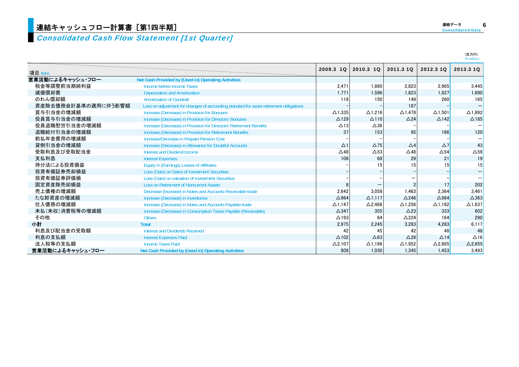### Consolidated Cash Flow Statement [1st Quarter]

|                     |                                                                                        |                 |                |                   |                 | $(Y$ million)            |
|---------------------|----------------------------------------------------------------------------------------|-----------------|----------------|-------------------|-----------------|--------------------------|
| 項目 Item             |                                                                                        | 2009.3 10       | 2010.3 10      | 2011.3 10         | 2012.3 10       | 2013.3 10                |
| 営業活動によるキャッシュ・フロー    | Net Cash Provided by (Used in) Operating Activities                                    |                 |                |                   |                 |                          |
| 税金等調整前当期純利益         | Income before Income Taxes                                                             | 2.471           | 1.860          | 2.823             | 2.965           | 3.445                    |
| 減価償却費               | <b>Depreciation and Amortization</b>                                                   | 1.771           | 1,596          | 1.823             | 1,827           | 1.890                    |
| のれん償却額              | <b>Amortization of Goodwill</b>                                                        | 118             | 150            | 149               | 260             | 165                      |
| 資産除去債務会計基準の適用に伴う影響額 | Loss on adjustment for changes of accounting standard for asset retirement obligations |                 |                | 187               |                 | $\qquad \qquad -$        |
| 賞与引当金の増減額           | Increase (Decrease) in Provision for Bonuses                                           | $\Delta$ 1.335  | $\Delta$ 1.216 | $\triangle$ 1.478 | $\Delta$ 1.501  | $\triangle$ 1.892        |
| 役員賞与引当金の増減額         | Increase (Decrease) in Provision for Directors' Bonuses                                | $\triangle$ 129 | $\Delta$ 110   | $\triangle$ 24    | $\triangle$ 142 | $\triangle$ 185          |
| 役員退職慰労引当金の増減額       | Increase (Decrease) in Provision for Directors' Retirement Benefits                    | $\triangle$ 13  | $\Delta 36$    |                   |                 |                          |
| 退職給付引当金の増減額         | Increase (Decrease) in Provision for Retirement Benefits                               | 37              | 153            | 95                | 166             | 120                      |
| 前払年金費用の増減額          | Increase/Decrease in Prepaid Pension Cost                                              |                 |                |                   |                 |                          |
| 貸倒引当金の増減額           | Increase (Decrease) in Allowance for Doubtful Accounts                                 | $\Delta$ 1      | $\Delta$ 75    | $\Delta$ 4        | $\Delta$ 7      | 43                       |
| 受取利息及び受取配当金         | Interest and Dividend Income                                                           | $\triangle$ 48  | $\Delta$ 53    | $\triangle$ 48    | $\Delta$ 54     | $\Delta$ 59              |
| 支払利息                | <b>Interest Expenses</b>                                                               | 108             | 68             | 29                | 21              | 19                       |
| 持分法による投資損益          | <b>Equity in (Earnings) Losses of Affiliates</b>                                       |                 |                | 15                | 15              | 15                       |
| 投資有価証券売却損益          | Loss (Gain) on Sales of Investment Securities                                          |                 |                |                   |                 | $\overline{\phantom{0}}$ |
| 投資有価証券評価損           | Loss (Gain) on valuation of Investment Securities                                      |                 |                |                   |                 |                          |
| 固定資産除売却損益           | <b>Loss on Retirement of Noncurrent Assets</b>                                         |                 |                | $\mathfrak{p}$    | 17              | 202                      |
| 売上債権の増減額            | Decrease (Increase) in Notes and Accounts Receivable-trade                             | 2,642           | 3,058          | 1.463             | 2,364           | 3.461                    |
| たな卸資産の増減額           | Increase (Decrease) in Inventories                                                     | $\triangle$ 964 | $\Delta$ 1,117 | $\triangle$ 246   | $\triangle$ 984 | $\triangle$ 363          |
| 仕入債務の増減額            | Increase (Decrease) in Notes and Accounts Payable-trade                                | $\Delta$ 1.147  | $\Delta$ 2,466 | $\Delta$ 1,256    | $\Delta$ 1.162  | $\Delta$ 1,637           |
| 未払(未収)消費税等の増減額      | Increase (Decrease) in Consumption Taxes Payable (Receivable)                          | $\triangle$ 347 | 355            | $\triangle$ 23    | 333             | 602                      |
| その他                 | <b>Others</b>                                                                          | $\Delta$ 193    | 64             | $\triangle$ 224   | 164             | 290                      |
| 小計                  | <b>Total</b>                                                                           | 2,975           | 2,245          | 3,283             | 4,283           | 6,117                    |
| 利息及び配当金の受取額         | <b>Interest and Dividends Received</b>                                                 | 42              | 45             | 42                | 48              | 48                       |
| 利息の支払額              | <b>Interest Expenses Paid</b>                                                          | $\Delta$ 102    | $\Delta 63$    | $\triangle$ 28    | $\Delta$ 14     | $\Delta$ 16              |
| 法人税等の支払額            | <b>Income Taxes Paid</b>                                                               | $\Delta$ 2,107  | $\Delta$ 1,196 | $\Delta$ 1,952    | $\Delta$ 2,865  | $\Delta$ 2,655           |
| 営業活動によるキャッシュ・フロー    | Net Cash Provided by (Used in) Operating Activities                                    | 808             | 1.030          | 1.345             | 1.453           | 3.493                    |

(百万円)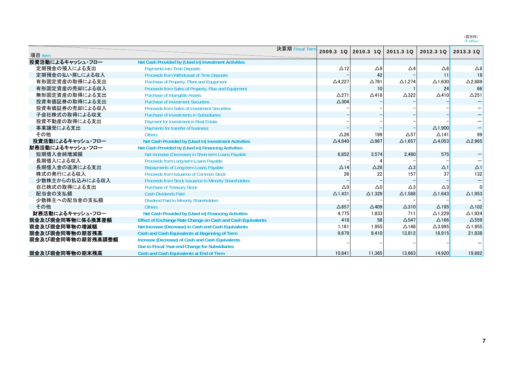(百万円)<br>(¥ million)

|                   |                                                                    | 決算期 Fiscal Term | 2009.3 1Q         | 2010.3 10         | 2011.3 10         | 2012.3 10         | 2013.3 10         |
|-------------------|--------------------------------------------------------------------|-----------------|-------------------|-------------------|-------------------|-------------------|-------------------|
| 項目 Item           |                                                                    |                 |                   |                   |                   |                   |                   |
| 投資活動によるキャッシュ・フロー  | Net Cash Provided by (Used in) Investment Activities               |                 |                   |                   |                   |                   |                   |
| 定期預金の預入による支出      | <b>Payments into Time Deposits</b>                                 |                 | $\triangle$ 12    | $\triangle 9$     | $\Delta$ 4        | $\Delta 6$        | $\triangle 8$     |
| 定期預金の払い戻しによる収入    | Proceeds from Withdrawal of Time Deposits                          |                 |                   | 42                |                   | 11                | 18                |
| 有形固定資産の取得による支出    | Purchase of Property, Plant and Equipment                          |                 | $\triangle$ 4,227 | $\Delta$ 791      | $\Delta$ 1,274    | $\triangle$ 1,630 | $\Delta$ 2,889    |
| 有形固定資産の売却による収入    | Proceeds from Sales of Property, Plan and Equipment                |                 |                   | 10                |                   | 24                | 66                |
| 無形固定資産の取得による支出    | <b>Purchase of Intangible Assets</b>                               |                 | $\Delta$ 271      | $\Delta$ 418      | $\triangle$ 322   | $\triangle$ 410   | $\triangle$ 251   |
| 投資有価証券の取得による支出    | <b>Purchase of Investment Securities</b>                           |                 | $\triangle$ 304   |                   |                   |                   |                   |
| 投資有価証券の売却による収入    | <b>Proceeds from Sales of Investment Securities</b>                |                 |                   |                   |                   |                   |                   |
| 子会社株式の取得による収支     | <b>Purchase of Investments in Subsidiaries</b>                     |                 |                   |                   |                   |                   |                   |
| 投資不動産の取得による支出     | Payment for Investment in Real Estate                              |                 |                   |                   |                   |                   |                   |
| 事業譲受による支出         | Payments for transfer of business                                  |                 |                   |                   |                   | $\Delta$ 1,900    |                   |
| その他               | <b>Others</b>                                                      |                 | $\Delta$ 26       | 199               | $\Delta$ 57       | $\triangle$ 141   | 99                |
| 投資活動によるキャッシュ・フロー  | Net Cash Provided by (Used in) Investment Activities               |                 | $\triangle$ 4.840 | $\triangle$ 967   | $\Delta$ 1.657    | $\Delta$ 4.053    | $\Delta$ 2,965    |
| 財務活動によるキャッシュ・フロー  | Net Cash Provided by (Used in) Financing Activities                |                 |                   |                   |                   |                   |                   |
| 短期借入金純増減額         | Net Increase (Decrease) in Short-term Loans Payable                |                 | 6.852             | 3.574             | 2,460             | 575               |                   |
| 長期借入による収入         | Proceeds from Long-term Loans Payable                              |                 |                   |                   |                   |                   |                   |
| 長期借入金の返済による支出     | Repayments of Long-term Loans Payable                              |                 | $\triangle$ 14    | $\triangle$ 28    | $\triangle 3$     | $\Delta$ 1        | $\Delta$ 1        |
| 株式の発行による収入        | Proceeds from Issuance of Common Stock                             |                 | 26                | 22                | 157               | 37                | 132               |
| 少数株主からの払込みによる収入   | Proceeds from Stock Issuance to Minority Shareholders              |                 |                   |                   |                   |                   |                   |
| 自己株式の取得による支出      | <b>Purchase of Treasury Stock</b>                                  |                 | $\triangle 0$     | $\triangle 0$     | $\triangle 3$     | $\triangle 3$     |                   |
| 配当金の支払額           | <b>Cash Dividends Paid</b>                                         |                 | $\Delta$ 1.431    | $\triangle$ 1.329 | $\triangle$ 1.588 | $\triangle$ 1.643 | $\Delta$ 1,953    |
| 少数株主への配当金の支払額     | <b>Dividend Paid to Minority Shareholders</b>                      |                 |                   |                   |                   |                   |                   |
| その他               | <b>Others</b>                                                      |                 | $\Delta$ 657      | $\triangle$ 409   | $\Delta$ 310      | $\triangle$ 195   | $\triangle$ 102   |
| 財務活動によるキャッシュ・フロー  | Net Cash Provided by (Used in) Financing Activities                |                 | 4,775             | 1,833             | 711               | $\Delta$ 1,229    | $\triangle$ 1,924 |
| 現金及び現金同等物に係る換算差額  | <b>Effect of Exchange Rate Change on Cash and Cash Equivalents</b> |                 | 418               | 58                | $\Delta$ 547      | $\Delta$ 166      | $\Delta$ 559      |
| 現金及び現金同等物の増減額     | Net Increase (Decrease) in Cash and Cash Equivalents               |                 | 1.161             | 1.955             | $\triangle$ 148   | $\triangle$ 3.995 | $\Delta$ 1,955    |
| 現金及び現金同等物の期首残高    | Cash and Cash Equivalents at Beginning of Term                     |                 | 9.679             | 9.410             | 13,812            | 18,915            | 21,838            |
| 現金及び現金同等物の期首残高調整額 | Increase (Decrease) of Cash and Cash Equivalents                   |                 |                   |                   |                   |                   |                   |
|                   | Due to Fiscal Year-end Change for Subsidiaries                     |                 |                   |                   |                   |                   |                   |
| 現金及び現金同等物の期末残高    | Cash and Cash Equivalents at End of Term                           |                 | 10.841            | 11.365            | 13,663            | 14.920            | 19.882            |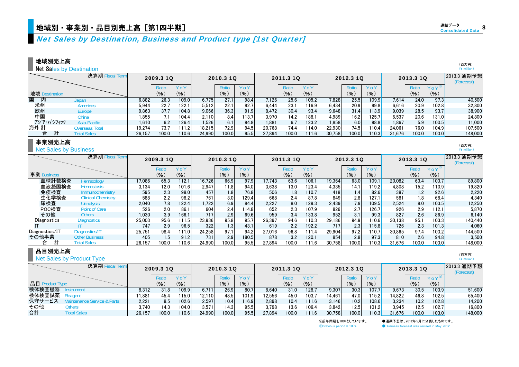## 地域別・事業別・品目別売上高[第1四半期] しかします しょうしょう しょうしょう しょうしょう しゅうしょう しょうしょう

### 地域別売上高

Net Sales by Destination

|        |                          | 決算期 Fiscal Term    |        | 2009.3 1Q |       |        | 2010.3 10 |       |        | 2011.3 10     |       |        | 2012.3 10 |       |        | 2013.3 1Q |                      | 2013.3 通期予想<br>(Forecast) |
|--------|--------------------------|--------------------|--------|-----------|-------|--------|-----------|-------|--------|---------------|-------|--------|-----------|-------|--------|-----------|----------------------|---------------------------|
|        |                          |                    |        | Ratio     | YoY   |        | Ratio     | YoY   |        | Ratio         | YoY   |        | Ratio     | YoY   |        | Ratio     | $Y_0Y^*$             |                           |
|        | 地域 Destination           |                    |        | (9)       | (9)   |        | (%)       | (9)   |        | $\frac{9}{6}$ | (9)   |        | (%)       | (%)   |        | (9)       | (% )                 |                           |
| 国<br>内 |                          | Japan              | 6.882  | 26.3      | 109.0 | 6,775  | 27.1      | 98.4  | 7.126  | 25.6          | 105.2 | 7,828  | 25.5      | 109.9 | 7,614  | 24.0      | 97.3                 | 40,500                    |
| 米州     |                          | Americas           | 5.944  | 22.7      | 122.1 | 5.512  | 22.1      | 92.7  | 6,444  | 23.1          | 16.9  | 6.434  | 20.9      | 99.8  | 6,616  | 20.9      | 102.8                | 32,800                    |
| 欧州     |                          | Europe             | 9,863  | 37.7      | 104.8 | 9,066  | 36.3      | 91.9  | 8,472  | 30.4          | 93.4  | 9,648  | 31.4      | 113.9 | 9,039  | 28.5      | 93.7                 | 38,900                    |
| 中国     |                          | China              | .855   | 7.1       | 104.4 | 2.110  | 8.4       | 113.7 | 3.970  | 14.2          | 188.1 | 4.989  | 16.2      | 125.7 | 6,537  | 20.6      | 131.0 <mark>1</mark> | 24,800                    |
|        | アジア・パシフィック               | Asia-Pacific       | 1.610  | 6.2       | 126.4 | 1,526  | 6.1       | 94.8  | 1,881  | 6.7           | 123.2 | 1,858  | 6.0       | 98.8  | 1,867  | 5.9       | 100.5                | 11,000                    |
| 海外 計   |                          | Overseas Total     | 19,274 | 73.7      | 11.2  | 18.215 | 72.9      | 94.5  | 20,768 | 74.4          | 114.0 | 22.930 | 74.5      | 110.4 | 24,061 | 76.0      | 104.9                | 107.500                   |
| 合      | 計                        | <b>Total Sales</b> | 26.157 | 0.001     | 110.6 | 24.990 | 100.0     | 95.5  | 27.894 | 100.01        | 11.6  | 30.758 | 100.0     | 110.3 | 31.676 | 100.0     | 103.0                | 148,000                   |
|        | $\pm$ and $\pm$ in $\pm$ |                    |        |           |       |        |           |       |        |               |       |        |           |       |        |           |                      |                           |

### 事業別売上高

Net Sales by Business

|                | 決算期 Fiscal Term           |        | 2009.3 10 |       |        | 2010.3 10        |       |        | 2011.3 10 |        |        | 2012.3 10 |        |        | 2013.3 1Q        |          | 2013.3 通期予想<br>(Forecast) |
|----------------|---------------------------|--------|-----------|-------|--------|------------------|-------|--------|-----------|--------|--------|-----------|--------|--------|------------------|----------|---------------------------|
|                |                           |        | Ratio     | YoY   |        | Ratio            | YoY   |        | Ratio     | YoY    |        | Ratio     | YoY    |        | <b>Ratio</b>     | $Y_0Y^*$ |                           |
| 事業 Business    |                           |        | (%)       | (%)   |        | (%)              | (9)   |        | (%)       | (%)    |        | (%)       | (% )   |        | (%               | (9)      |                           |
| 血球計数検査         | Hematology                | 17,086 | 65.3      | 112.1 | 16,726 | 66.9             | 97.9  | 17.743 | 63.6      | 106.1  | 19.364 | 63.0      | 109.1  | 20,082 | 63.4             | 103.7    | 89,800                    |
| 血液凝固検査         | <b>Hemostasis</b>         | 3.134  | 12.0      | 101.6 | 2.947  | 11.8             | 94.0  | 3.638  | 13.0      | 123.4  | 4,335  | 14.1      | 119.2  | 4.808  | 15.2             | 10.9     | 19.820                    |
| 免疫検査           | Immunochemistry           | 595    | 2.3       | 98.0  | 457    | 1.8 <sub>1</sub> | 76.8  | 506    | 1.8       | 110.7  | 418    | 1.4       | 82.6   | 387    | 1.2 <sub>1</sub> | 92.6     | 2.220                     |
| 生化学検査          | <b>Clinical Chemistry</b> | 588    | 2.2       | 98.2  | 761    | 3.0              | 129.4 | 668    | 2.4       | 87.8   | 849    | 2.8       | 127.1  | 581    | 1.8              | 68.4     | 4,340                     |
| 尿検査            | <b>Urinalysis</b>         | 2.040  | 7.8       | 122.4 | .722   | 6.9              | 84.4  | 2,227  | 8.0       | 129.3  | 2,439  | 7.9       | 109.5  | 2.524  | 8.0              | 103.5    | 12.250                    |
| POC検査          | Point of Care             | 526    | 2.0       | 86.1  | 604    | 2.4              | 114.8 | 652    | 2.3       | 107.9  | 826    | 2.7       | 126.7  | 926    | 2.9              | 112.1    | 5,870                     |
| その他            | Others                    | 1.030  | 3.9       | 166.1 | 717    | 2.9              | 69.6  | 959    | 3.4       | 133.8  | 952    | 3.1       | 99.3   | 827    | 2.6              | 86.9     | 6.140                     |
| Diagnostics    | <b>Diagnostics</b>        | 25.003 | 95.6      | 111.5 | 23,936 | 95.8             | 95.7  | 26,397 | 94.6      | 110.31 | 29,186 | 94.9      | 110.6  | 30.138 | 95.1             | 103.3    | 140.440                   |
|                |                           | 747    | 2.9       | 96.5  | 322    | 1.3              | 43.1  | 619    | 2.2       | 192.2  | 717    | 2.3       | 115.8  | 726    | 2.3              | 101.3    | 4,060                     |
| Diagnostics/IT | Diagnostics/IT            | 25.751 | 98.4      | 111.0 | 24,258 | 97.1             | 94.2  | 27.016 | 96.8      | 111.4  | 29.904 | 97.2      | 110.7  | 30.865 | 97.4             | 103.2    | 144,500                   |
| その他事業          | <b>Other Business</b>     | 405    | 1.5       | 91.2  | 731    | 2.9              | 180.5 | 878    | 3.2       | 120.1  | 854    | 2.8       | 97.3   | 810    | 2.6              | 94.8     | 3.500                     |
| 合              | <b>Total Sales</b>        | 26.157 | 100.0     | 110.6 | 24.990 | 100.0            | 95.5  | 27.894 | 100.0     | 111.6  | 30.758 | 100.0     | 110.31 | 31.676 | 100.0            | 103.01   | 148,000                   |

### 品目別売上高

**Net Sales by Product Type** 

|                    | 決算期 Fiscal Term         |        | 2009.3 1Q |       |        | 2010.3 1Q |       |        | 2011.3 10 |       |        | 2012.3 10         |                    |        | 2013.3 10          |       | 2013.3 通期予想<br>(Forecast) |
|--------------------|-------------------------|--------|-----------|-------|--------|-----------|-------|--------|-----------|-------|--------|-------------------|--------------------|--------|--------------------|-------|---------------------------|
|                    |                         |        | Ratio     |       |        | Ratio     | YoY   |        | Ratio     | YoY   |        | Ratio             | YoY                |        | Ratio              |       |                           |
| 品目<br>Product Type |                         |        | (%        | (% )  |        | (%)       | (9)   |        | (9)       | (% )  |        | (%)               | (% )               |        | (9)                | (9)   |                           |
| 検体検査機器             | ıstrument               | 8,312  | 31.8      | 109.9 | 6,711  | 26.9      | 80.7  | 8.640  | 31.0      | 128.7 | 9,307  | 30.3              | 107.7              | 9.673  | 30.5               | 103.9 | 51,600                    |
| 検体検査試薬             | Readent                 | 1.881  | 45.4      | 15.0  | 12.110 | 48.5      | 101.9 | 12.556 | 45.0      | 103.7 | 14.461 | 47.0              | 115.2 <sub>h</sub> | 14.822 | 46.8               | 102.5 | 65.400                    |
| 保守サービス             | tenance Service & Parts | 2,221  | 8.51      | 102.6 | 2.597  | 10.4      | 116.9 | 2.898  | 10.4      | 111.6 | 3.146  | 10.2 <sub>1</sub> | 108.6              | 3.234  | 10.2               | 102.8 | 14,200                    |
| その他                | <b>Others</b>           | 3,740  | 14.3      | 104.0 | 3,571  | 14.3      | 95.5  | 3.798  | 13.6      | 106.4 | 3,842  | 12.5              | 101.2              | 3.945  | 12.5               | 102.7 | 16,800                    |
| 合計                 | <b>Total Sales</b>      | 26.157 | 100.0     | 110.6 | 24.990 | 100.0     | 95.5  | 27.894 | 100.0     | 111.6 | 30.758 | 100.01            | 110.3              | 31.676 | 100.0 <sub>1</sub> | 103.0 | 148,000                   |

※前年同期を100%としています。 ●通期予想は、2012年5月に公表したものです。  $\%$ Previous period = 100% <br>  $\bigcirc$ Business forecast was revised in May 2012.

(百万円) (\ million)

(百万円) (\ million)

(百万円) (\ million)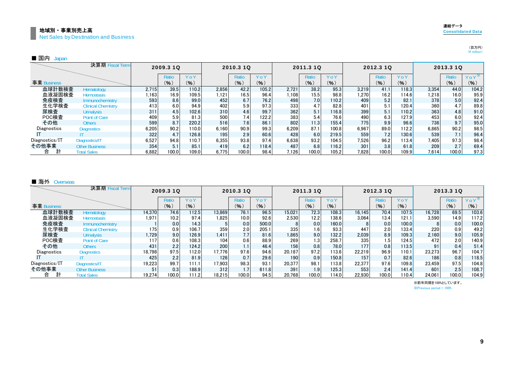#### まままでは、このことをしていることをしている。<br>このことには、このことには、このことには、このことには、このことには、このことには、このことには、このことには、このことには、このことには、このことには、このことには、このことには、このことには、このことには、このことに 地域別・事業別売上高Net Sales by Destination and Business

 $\mathbb{I}$ 

Other Business

Total Sales

|               |                           |       |           |       |       |                   |       |        |           |       |       |           |       |       |           | (¥ million) |
|---------------|---------------------------|-------|-----------|-------|-------|-------------------|-------|--------|-----------|-------|-------|-----------|-------|-------|-----------|-------------|
| ■ 国内<br>Japan |                           |       |           |       |       |                   |       |        |           |       |       |           |       |       |           |             |
|               | 決算期 Fiscal Term           |       | 2009.3 1Q |       |       | 2010.3 1Q         |       |        | 2011.3 10 |       |       | 2012.3 10 |       |       | 2013.3 1Q |             |
|               |                           |       | Ratio     | YoY   |       | Ratic             | YoY   |        | Ratio     | YoY   |       | Ratio     | YoY   |       | Ratio     | $Y_0Y^*$    |
| 事業 Business   |                           |       | (% )      | (% )  |       | (%)               | (9)   |        | (9)       | (9)   |       | (9)       | (9)   |       | (9)       | (% )        |
| 血球計数検査        | Hematology                | 2.715 | 39.5      | 110.2 | 2,856 | 42.2              | 105.2 | 2.721  | 38.2      | 95.3  | 3,219 | 41.1      | 118.3 | 3.354 | 44.0      | 104.2       |
| 血液凝固検査        | <b>Hemostasis</b>         | 163   | 16.9      | 109.5 | 121،، | 16.5 <sub>1</sub> | 96.4  | ا108.، | 15.5      | 98.8  | 1.270 | 16.2      | 114.6 | .218  | 16.0      | 95.9        |
| 免疫検査          | Immunochemistry           | 593   | 8.6       | 99.0  | 452   | 6.7               | 76.2  | 498    | 7.0       | 110.2 | 409   | 5.2       | 82.1  | 378   | 5.0       | 92.4        |
| 生化学検査         | <b>Clinical Chemistry</b> | 413   | 6.0       | 94.9  | 402   | 5.9               | 97.3  | 333    | 4.7       | 82.8  | 401   | 5.1       | 120.4 | 360   | 4.7       | 89.8        |
| 尿検査           | <b>Urinalysis</b>         | 311   | 4.5       | 102.6 | 310   | 4.6               | 99.7  | 362    | 5.1       | 116.8 | 399   | 5.1       | 110.2 | 363   | 4.8       | 91.0        |
| POC検査         | Point of Care             | 409   | 5.9       | 81.3  | 500   | 7.4               | 122.2 | 383    | 5.4       | 76.6  | 490   | 6.3       | 127.9 | 453   | 6.0       | 92.4        |

他 Others | 599 | 8.7 | 220.2 | 516 | 7.6 | 86.1 | 802 | 11.3 | 155.4 | 775 | 9.9 | 96.6 | 736 | 9.7 | 95.0

Diagnostics 6,205 90.2 110.0 6,160 90.9 99.3 6,209 87.1 100.8 6,967 89.0 112.2 6,865 90.2 98.5

 322 4.7 126.8 195 2.9 60.6 428 6.0 219.5 559 7.2 130.6 539 7.1 96.4 Diagnostics/IT | 6,527 94.8 110.7 6,355 93.8 97.4 6,638 93.2 104.5 7,526 96.2 113.4 7,405 97.3 98.4

354 5.1 85.1 419 6.2 118.4 487 6.8 116.2 301 3.8 61.8 209 2.7 69.4

6,882 100.0 109.0 6,775 100.0 98.4 7,126 100.0 105.2 7,828 100.0 109.9 7,614 100.0 97.3

合 計 その他事業

その他

**Diagnostics** 

ITDiagnostics/IT

|                | 決算期 Fiscal Term           |        | 2009.3 10 |       |        | 2010.3 10 |       |        | 2011.3 10 |       |        | 2012.3 10 |       |        | 2013.3 10 |          |
|----------------|---------------------------|--------|-----------|-------|--------|-----------|-------|--------|-----------|-------|--------|-----------|-------|--------|-----------|----------|
|                |                           |        | Ratio     | YoY   |        | Ratio     | YoY   |        | Ratio     | YoY   |        | Ratio     | YoY   |        | Ratio     | $Y_0Y^*$ |
| 事業 Business    |                           |        | (%)       | (% )  |        | (% )      | (%)   |        | (%)       | (% )  |        | (9)       | (9)   |        | (%)       | (%)      |
| 血球計数検査         | Hematology                | 14.370 | 74.6      | 112.5 | 13.869 | 76.1      | 96.5  | 15.021 | 72.3      | 108.3 | 16.145 | 70.4      | 107.5 | 16.728 | 69.5      | 103.6    |
| 血液凝固検査         | Hemostasis                | 1,971  | 10.2      | 97.4  | 1.825  | 10.0      | 92.6  | 2,530  | 12.2      | 138.6 | 3.064  | 13.4      | 121.1 | 3,590  | 14.9      | 117.2    |
| 免疫検査           | <b>Immunochemistry</b>    |        | 0.0       | 14.3  |        | 0.0       | 500.0 |        | 0.0       | 160.0 |        | 0.0       | 100.0 |        | 0.0       | 100.0    |
| 生化学検査          | <b>Clinical Chemistry</b> | 175    | 0.9       | 106.7 | 359    | 2.0       | 205.1 | 335    | 1.6       | 93.3  | 447    | 2.0       | 133.4 | 220    | 0.9       | 49.2     |
| 尿検査            | <b>Urinalysis</b>         | .729   | 9.0       | 126.9 | 1.411  | 7.7       | 81.6  | 1,865  | 9.0       | 132.2 | 2.039  | 8.9       | 109.3 | 2,160  | 9.0       | 105.9    |
| POC検査          | Point of Care             | 117    | 0.6       | 108.3 | 104    | 0.6       | 88.9  | 269    | 1.3       | 258.7 | 335    | 1.5       | 124.5 | 472    | 2.0       | 140.9    |
| その他            | <b>Others</b>             | 431    | 2.2       | 124.2 | 200    |           | 46.4  | 156    | 0.8       | 78.0  | 177    | 0.8       | 113.5 | 91     | 0.4       | 51.4     |
| Diagnostics    | <b>Diagnostics</b>        | 18,798 | 97.5      | 112.0 | 17.776 | 97.6      | 94.6  | 20.187 | 97.2      | 113.6 | 22.219 | 96.9      | 110.1 | 23,273 | 96.7      | 104.7    |
|                |                           | 425    | 2.2       | 81.9  | 126    | 0.7       | 29.6  | 190    | 0.9       | 150.8 | 157    | 0.7       | 82.6  | 1861   | 0.8       | 118.5    |
| Diagnostics/IT | Diagnostics/IT            | 19,223 | 99.7      | 111.1 | 17.903 | 98.3      | 93.1  | 20.377 | 98.1      | 113.8 | 22,377 | 97.6      | 109.8 | 23,459 | 97.5      | 104.8    |
| その他事業          | <b>Other Business</b>     | 51     | 0.3       | 188.9 | 312    |           | 611.8 | 391    | 1.9       | 125.3 | 553    | 2.4       | 141.4 | 601    | 2.5       | 108.7    |
| 計<br>合         | <b>Total Sales</b>        | 19.274 | 100.0     | 111.2 | 18.215 | 100.0     | 94.5  | 20.768 | 100.0     | 114.0 | 22.930 | 100.0     | 110.4 | 24.061 | 100.0     | 104.9    |

※Previous period = 100% ※前年同期を100%としています。

# 連結データ

(百万円)  $(\frac{1}{\sqrt{2}})$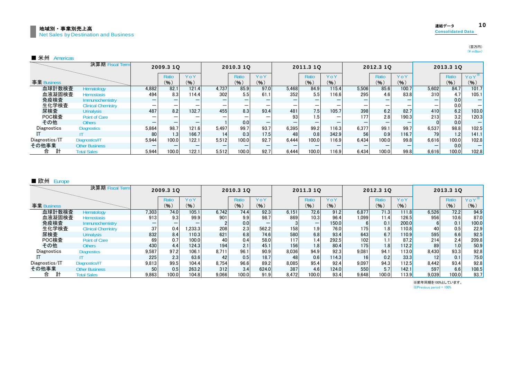| │ 地域別・事業別売上高                          | 連結データ                    | 10 |
|---------------------------------------|--------------------------|----|
| Net Sales by Destination and Business | <b>Consolidated Data</b> |    |
|                                       |                          |    |

|                | 決算期 Fiscal Term           |                          | 2009.3 10 |       |                          | 2010.3 1Q |      |       | 2011.3 10 |       |       | 2012.3 10                |       |       | 2013.3 1Q    |          |
|----------------|---------------------------|--------------------------|-----------|-------|--------------------------|-----------|------|-------|-----------|-------|-------|--------------------------|-------|-------|--------------|----------|
|                |                           |                          | Ratio     | YoY   |                          | Ratio     | YoY  |       | Ratio     | YoY   |       | Ratio                    | YoY   |       | <b>Ratio</b> | $Y_0Y^*$ |
| 事業 Business    |                           |                          | (9)       | (% )  |                          | (9)       | (%)  |       | $($ % $)$ | (%)   |       | (%)                      | (% )  |       | (%)          | (9)      |
| 血球計数検査         | Hematology                | 4,882                    | 82.1      | 121.4 | 4,737                    | 85.9      | 97.0 | 5,468 | 84.9      | 115.4 | 5.506 | 85.6                     | 100.7 | 5,602 | 84.7         | 101.7    |
| 血液凝固検査         | <b>Hemostasis</b>         | 494                      | 8.3       | 114.4 | 302                      | 5.5       | 61.1 | 352   | 5.5       | 116.6 | 295   | 4.6                      | 83.8  | 310   | 4.7          | 105.1    |
| 免疫検査           | Immunochemistry           |                          | -         |       |                          |           |      |       |           |       |       |                          |       |       | 0.0          |          |
| 生化学検査          | <b>Clinical Chemistry</b> | $\overline{\phantom{m}}$ | –         |       | $\overline{\phantom{0}}$ |           |      |       |           |       | –     | $\overline{\phantom{0}}$ | –     |       | 0.0          |          |
| 尿検査            | <b>Urinalysis</b>         | 487                      | 8.2       | 132.7 | 455                      | 8.31      | 93.4 | 481   | 7.5       | 105.7 | 398   | 6.2                      | 82.7  | 410   | 6.2          | 103.0    |
| POC検査          | Point of Care             | $\overline{\phantom{0}}$ |           |       | -                        |           |      | 93    | 1.5       |       | 177   | 2.8                      | 190.3 | 213   | 3.2          | 120.3    |
| その他            | <b>Others</b>             | –                        |           |       |                          | 0.0       |      |       |           |       |       |                          |       |       | 0.0          |          |
| Diagnostics    | <b>Diagnostics</b>        | 5,864                    | 98.7      | 121.6 | 5.497                    | 99.7      | 93.7 | 6.395 | 99.2      | 116.3 | 6.377 | 99.1                     | 99.7  | 6,537 | 98.8         | 102.5    |
|                |                           | 80                       | 1.3       | 166.7 | 14                       | 0.3       | 17.5 | 48    | 0.8       | 342.9 | 56    | 0.9                      | 116.7 | 79    | 1.21         | 141.1    |
| Diagnostics/IT | Diagnostics/IT            | 5,944                    | 100.0     | 122.1 | 5.512                    | 100.0     | 92.7 | 6.444 | 100.0     | 116.9 | 6.434 | 100.0                    | 99.8  | 6.616 | 100.0        | 102.8    |
| その他事業          | <b>Other Business</b>     |                          |           |       |                          |           |      |       |           |       |       |                          |       |       | 0.0          |          |
| 合              | <b>Total Sales</b>        | 5,944                    | 100.0     | 122.1 | 5.512                    | 100.0     | 92.7 | 6,444 | 100.0     | 116.9 | 6,434 | 100.0                    | 99.8  | 6,616 | 100.0        | 102.8    |

#### ■ 欧州 Europe

|                | 決算期 Fiscal Term           |       | 2009.3 10 |        |       | 2010.3 10 |       |       | 2011.3 10 |       |       | 2012.3 10 |       |       | 2013.3 1Q        |          |
|----------------|---------------------------|-------|-----------|--------|-------|-----------|-------|-------|-----------|-------|-------|-----------|-------|-------|------------------|----------|
|                |                           |       | Ratio     | YoY    |       | Ratio     | YoY   |       | Ratio     | YoY   |       | Ratio     | YoY   |       | Ratio            | $Y_0Y^*$ |
| 事業 Business    |                           |       | (%)       | (% )   |       | (%)       | (9)   |       | (%)       | (9)   |       | (9)       | (%)   |       | (%)              | (% )     |
| 血球計数検査         | Hematology                | 7.303 | 74.0      | 105.1  | 6.742 | 74.4      | 92.3  | 6.151 | 72.6      | 91.2  | 6.877 | 71.3      | 111.8 | 6,526 | 72.2             | 94.9     |
| 血液凝固検査         | <b>Hemostasis</b>         | 913   | 9.3       | 99.9   | 901   | 9.9       | 98.7  | 869   | 10.3      | 96.4  | 1.099 | 11.4      | 126.5 | 956   | 10.6             | 87.0     |
| 免疫検査           | Immunochemistry           | -     | -         |        |       | 0.0       |       |       |           | 150.0 |       | 0.1       | 200.0 |       | 0.1              | 100.0    |
| 生化学検査          | <b>Clinical Chemistry</b> | 37    | 0.4       | .233.3 | 208   | 2.3       | 562.2 | 158   | 1.9       | 76.0  | 175   | 1.81      | 110.8 | 40    | 0.5              | 22.9     |
| 尿検査            | <b>Urinalysis</b>         | 832   | 8.4       | 110.3  | 621   | 6.8       | 74.6  | 580   | 6.8       | 93.4  | 643   | 6.7       | 110.9 | 595   | 6.6              | 92.5     |
| POC検査          | <b>Point of Care</b>      | 69    | 0.7       | 100.0  | 40    | 0.4       | 58.0  | 117   | 1.4       | 292.5 | 102   | 1.1       | 87.2  | 214   | 2.4              | 209.8    |
| その他            | <b>Others</b>             | 430   | 4.4       | 124.3  | 194   | 2.1       | 45.1  | 156   | 1.8       | 80.4  | 175   | 1.8       | 112.2 | 89    | 1.0 <sub>1</sub> | 50.9     |
| Diagnostics    | <b>Diagnostics</b>        | 9,587 | 97.2      | 106.1  | 8.711 | 96.1      | 90.9  | 8,036 | 94.9      | 92.3  | 9.081 | 94.1      | 113.0 | 8,430 | 93.3             | 92.8     |
|                |                           | 225   | 2.3       | 63.6   | 42    | 0.5       | 18.7  | 48    | 0.6       | 114.3 | 16    | 0.2       | 33.3  | 12    | 0.1              | 75.0     |
| Diagnostics/IT | Diagnostics/IT            | 9,813 | 99.5      | 104.4  | 8.754 | 96.6      | 89.2  | 8,085 | 95.4      | 92.4  | 9.097 | 94.3      | 112.5 | 8.442 | 93.4             | 92.8     |
| その他事業          | <b>Other Business</b>     | 50    | 0.5       | 263.2  | 312   | 3.4       | 624.0 | 387   | 4.6       | 124.0 | 550   | 5.7       | 142.1 | 597   | 6.6              | 108.5    |
| 計<br>合         | <b>Total Sales</b>        | 9.863 | 100.0     | 104.8  | 9.066 | 100.0     | 91.9  | 8.472 | 100.0     | 93.4  | 9.648 | 100.0     | 113.9 | 9.039 | 100.0            | 93.7     |

※Previous period = 100% ※前年同期を100%としています。 (百万円)<br>(¥ million)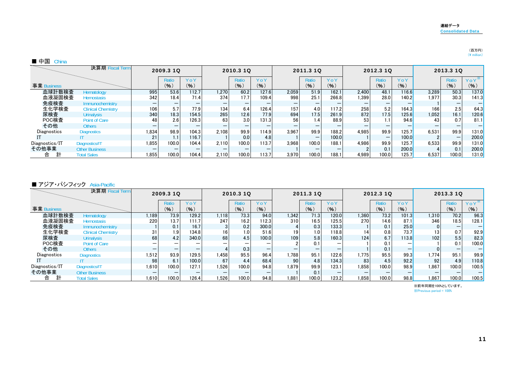## (百万円)<br>(¥ million)

#### ■ 中国 China

|                | 決算期 Fiscal Term           |       | 2009.3 10 |       |       | 2010.3 1Q |       |       | 2011.3 10 |       |       | 2012.3 1Q                |        |       | 2013.3 1Q |          |
|----------------|---------------------------|-------|-----------|-------|-------|-----------|-------|-------|-----------|-------|-------|--------------------------|--------|-------|-----------|----------|
|                |                           |       | Ratio     | YoY   |       | Ratio     | YoY   |       | Ratio     | YoY   |       | Ratio                    | $Y_0Y$ |       | Ratio     | $Y_0Y^*$ |
| 事業 Business    |                           |       | (%)       | (96)  |       | (% )      | (% )  |       | (96)      | (%)   |       | (9)                      | (% )   |       | (9)       | (9)      |
| 血球計数検査         | Hematology                | 995   | 53.6      | 112.7 | 1.270 | 60.2      | 127.6 | 2,059 | 51.9      | 162.1 | 2.400 | 48.1                     | 116.6  | 3,289 | 50.3      | 137.0    |
| 血液凝固検査         | Hemostasis                | 342   | 18.4      | 71.4  | 374   | 17.7      | 109.4 | 998   | 25.1      | 266.8 | 1.399 | 28.0                     | 140.2  | 1.977 | 30.3      | 141.3    |
| 免疫検査           | Immunochemistry           |       |           |       |       |           |       |       |           |       |       |                          |        |       |           |          |
| 生化学検査          | <b>Clinical Chemistry</b> | 106   | 5.7       | 77.9  | 134   | 6.4       | 126.4 | 157   | 4.0       | 117.2 | 258   | 5.2                      | 164.3  | 166   | 2.5       | 64.3     |
| 尿検査            | <b>Urinalysis</b>         | 340   | 18.3      | 154.5 | 265   | 12.6      | 77.9  | 694   | 17.5      | 261.9 | 872   | 17.5                     | 125.6  | 1,052 | 16.1      | 120.6    |
| POC検査          | <b>Point of Care</b>      | 48    | 2.6       | 126.3 | 63    | 3.0       | 131.3 | 56    | 1.4       | 88.9  | 53    |                          | 94.6   |       | 0.7       | 81.1     |
| その他            | <b>Others</b>             |       |           |       |       |           |       |       |           |       |       |                          |        |       |           |          |
| Diagnostics    | <b>Diagnostics</b>        | 1,834 | 98.9      | 104.3 | 2.108 | 99.9      | 114.9 | 3.967 | 99.9      | 188.2 | 4.985 | 99.9                     | 125.7  | 6,531 | 99.9      | 131.0    |
|                |                           | 21    | 1.1       | 116.7 |       | 0.0       | 4.8   |       |           | 100.0 |       | $\overline{\phantom{0}}$ | 100.0  |       |           | 200.0    |
| Diagnostics/IT | Diagnostics/IT            | 1,855 | 100.0     | 104.4 | 2.110 | 100.0     | 113.7 | 3.968 | 100.0     | 188.1 | 4.986 | 99.9                     | 125.7  | 6,533 | 99.9      | 131.0    |
| その他事業          | <b>Other Business</b>     |       | -         |       |       |           |       |       |           |       |       | 0.1                      | 200.0  |       | 0.1       | 200.0    |
| 合              | <b>Total Sales</b>        | 1,855 | 100.0     | 104.4 | 2.110 | 100.0     | 113.7 | 3.970 | 100.0     | 188.1 | 4.989 | 100.0                    | 125.7  | 6.537 | 100.0     | 131.0    |

#### ■ アジア・パシフィック Asia-Pacific

|                | 決算期 Fiscal Term           |       | 2009.3 1Q |       |       | 2010.3 10 |       |       | 2011.3 1Q |       |       | 2012.3 10    |                          |       | 2013.3 10 |          |
|----------------|---------------------------|-------|-----------|-------|-------|-----------|-------|-------|-----------|-------|-------|--------------|--------------------------|-------|-----------|----------|
|                |                           |       | Ratio     | YoY   |       | Ratio     | YoY   |       | Ratio     | YoY   |       | <b>Ratio</b> | YoY                      |       | Ratio     | $Y_0Y^*$ |
| 事業 Business    |                           |       | (9)       | (%)   |       | (%)       | (9)   |       | (% )      | (9)   |       | (9)          | (% )                     |       | (%)       | (% )     |
| 血球計数検査         | Hematology                | 1,189 | 73.9      | 129.2 | 1.118 | 73.3      | 94.0  | 1,342 | 71.3      | 120.0 | 1.360 | 73.2         | 101.3                    | 1,310 | 70.2      | 96.3     |
| 血液凝固検査         | <b>Hemostasis</b>         | 220   | 13.7      | 111.7 | 247   | 16.2      | 112.3 | 310   | 16.5      | 125.5 | 270   | 14.6         | 87.1                     | 346   | 18.5      | 128.1    |
| 免疫検査           | Immunochemistry           |       | 0.1       | 16.7  |       | 0.2       | 300.0 |       | 0.3       | 133.3 |       | 0.1          | 25.0                     |       |           |          |
| 生化学検査          | <b>Clinical Chemistry</b> | 31    | 1.9       | 134.8 | 16    | 1.0       | 51.6  | 19    |           | 118.8 | 14    | 0.8          | 73.7                     | 13    | 0.7       | 92.9     |
| 尿検査            | <b>Urinalysis</b>         | 68    | 4.2       | 340.0 | 68    | 4.5       | 100.0 | 109   | 5.8       | 160.3 | 124   | 6.7          | 113.8                    | 102   | 5.5       | 82.3     |
| POC検査          | Point of Care             |       | –         |       |       |           |       |       |           |       |       |              | $\overline{\phantom{0}}$ |       | 0.1       | 100.0    |
| その他            | <b>Others</b>             |       |           |       |       | 0.3       |       |       |           |       |       | 0.1          |                          |       |           |          |
| Diagnostics    | <b>Diagnostics</b>        | 1.512 | 93.9      | 129.5 | 1.458 | 95.5      | 96.4  | .788  | 95.1      | 122.6 | 1.775 | 95.5         | 99.3                     | 1,774 | 95.1      | 99.9     |
|                |                           | 98    | 6.1       | 100.0 | 67    | 4.4       | 68.4  | 90    | 4.8       | 134.3 | 83    | 4.5          | 92.2                     | 92    | 4.9       | 110.8    |
| Diagnostics/IT | Diagnostics/IT            | 1.610 | 100.0     | 127.1 | 1.526 | 100.0     | 94.8  | 1.879 | 99.9      | 123.1 | 1.858 | 100.0        | 98.9                     | 1.867 | 100.0     | 100.5    |
| その他事業          | <b>Other Business</b>     |       | _         |       | –     |           |       |       | 0.1       |       |       |              |                          |       | _         |          |
| 計<br>合         | <b>Total Sales</b>        | .610  | 100.0     | 126.4 | 1,526 | 100.0     | 94.8  | 1.881 | 100.0     | 123.2 | .858  | 100.0        | 98.8                     | 1.867 | 100.0     | 100.5    |

※前年同期を100%としています。 ※Previous period = 100%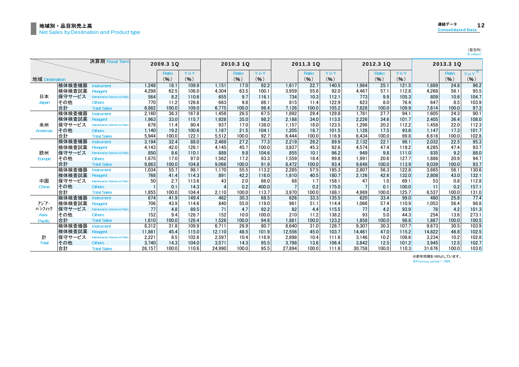(百万円)<br>(¥ million)

|                |        | 決算期 Fiscal Term                        |        | 2009.3 1Q |       |        | 2010.3 1Q    |       |        | 2011.3 1Q |       |        | 2012.3 1Q    |       |        | 2013.3 1Q |             |
|----------------|--------|----------------------------------------|--------|-----------|-------|--------|--------------|-------|--------|-----------|-------|--------|--------------|-------|--------|-----------|-------------|
|                |        |                                        |        | Ratio     | YoY   |        | <b>Ratio</b> | YoY   |        | Ratio     | YoY   |        | <b>Ratio</b> | YoY   |        | Ratio     | $Y$ 0 $Y^*$ |
| 地域 Destination |        |                                        |        | (9)       | (9)   |        | (9)          | (96)  |        | (%)       | (%)   |        | (9)          | (9)   |        | (9)       | (% )        |
|                | 検体検査機器 | <b>Instrument</b>                      | 1.248  | 18.1      | 109.9 | 1.151  | 17.0         | 92.2  | 1,617  | 22.7      | 140.5 | 1.964  | 25.1         | 121.5 | 1,889  | 24.8      | 96.2        |
|                | 検体検査試薬 | Reagent                                | 4,298  | 62.5      | 106.0 | 4,304  | 63.5         | 100.1 | 3,959  | 55.6      | 92.0  | 4.467  | 57.1         | 112.8 | 4,268  | 56.1      | 95.5        |
| 日本             | 保守サービス | <b>Maintenance Service &amp; Parts</b> | 564    | 8.2       | 110.6 | 655    | 9.7          | 116.1 | 734    | 10.3      | 112.1 | 773    | 9.9          | 105.3 | 809    | 10.6      | 104.7       |
| Japan          | その他    | <b>Others</b>                          | 770    | 11.2      | 126.6 | 663    | 9.8          | 86.1  | 815    | 11.4      | 122.9 | 623    | 8.0          | 76.4  | 647    | 8.5       | 103.9       |
|                | 合計     | <b>Total Sales</b>                     | 6.882  | 100.0     | 109.0 | 6.775  | 100.0        | 98.4  | 7.126  | 100.0     | 105.2 | 7.828  | 100.0        | 109.9 | 7.614  | 100.0     | 97.3        |
|                | 検体検査機器 | <b>Instrument</b>                      | 2.160  | 36.3      | 167.8 | 1.458  | 26.5         | 67.5  | 1.892  | 29.4      | 129.8 | 1.781  | 27.7         | 94.1  | 1.605  | 24.3      | 90.1        |
|                | 検体検査試薬 | Reagent                                | 1,963  | 33.0      | 115.7 | 1,928  | 35.0         | 98.2  | 2,188  | 34.0      | 113.5 | 2,226  | 34.6         | 101.7 | 2,405  | 36.4      | 108.0       |
| 米州             | 保守サービス | Maintenance Service & Parts            | 679    | 11.4      | 90.4  | 937    | 17.0         | 138.0 | 1.157  | 18.0      | 123.5 | 1.298  | 20.2         | 112.2 | 1.458  | 22.0      | 112.3       |
| Americas       | その他    | <b>Others</b>                          | 1.140  | 19.2      | 100.6 | 1.187  | 21.5         | 104.1 | 1,205  | 18.7      | 101.5 | 1.128  | 17.5         | 93.6  | 1,147  | 17.3      | 101.7       |
|                | 合計     | <b>Total Sales</b>                     | 5.944  | 100.0     | 122.1 | 5.512  | 100.0        | 92.7  | 6.444  | 100.0     | 116.9 | 6.434  | 100.0        | 99.8  | 6.616  | 100.0     | 102.8       |
|                | 検体検査機器 | nstrument                              | 3.194  | 32.4      | 88.0  | 2.469  | 27.2         | 77.3  | 2,219  | 26.2      | 89.9  | 2.132  | 22.1         | 96.1  | 2.032  | 22.5      | 95.3        |
|                | 検体検査試薬 | Reagent                                | 4.143  | 42.0      | 126.1 | 4.145  | 45.7         | 100.0 | 3.837  | 45.3      | 92.6  | 4.574  | 47.4         | 119.2 | 4.285  | 47.4      | 93.7        |
| 欧州             | 保守サービス | Maintenance Service & Parts            | 850    | 8.6       | 110.1 | 889    | 9.8          | 104.6 | 855    | 10.1      | 96.2  | 949    | 9.8          | 111.0 | 835    | 9.2       | 88.0        |
| Europe         | その他    | <b>Others</b>                          | 1.675  | 17.0      | 97.0  | 1.562  | 17.2         | 93.3  | 1,559  | 18.4      | 99.8  | 1.991  | 20.6         | 127.7 | 1.886  | 20.9      | 94.7        |
|                | 合計     | <b>Total Sales</b>                     | 9.863  | 100.0     | 104.8 | 9.066  | 100.0        | 91.9  | 8,472  | 100.0     | 93.4  | 9.648  | 100.0        | 113.9 | 9.039  | 100.0     | 93.7        |
|                | 検体検査機器 | <b>Instrument</b>                      | 1.034  | 55.7      | 98.1  | 1.170  | 55.5         | 113.2 | 2.285  | 57.5      | 195.3 | 2.807  | 56.3         | 122.8 | 3.665  | 56.1      | 130.6       |
|                | 検体検査試薬 | Reagent                                | 768    | 41.4      | 114.3 | 891    | 42.2         | 116.0 | 1.610  | 40.5      | 180.7 | 2.126  | 42.6         | 132.0 | 2.808  | 43.0      | 132.1       |
| 中国             | 保守サービス | Maintenance Service & Parts            | 50     | 2.7       | 113.6 | 43     | 2.0          | 86.0  | 68     | 1.7       | 158.1 | 47     | 1.0          | 69.1  | 53     | 0.8       | 112.8       |
| China          | その他    | <b>Others</b>                          |        | 0.1       | 14.3  |        | 0.2          | 400.0 |        | 0.2       | 175.0 |        | 0.1          | 100.0 |        | 0.2       | 157.1       |
|                | 合計     | <b>Total Sales</b>                     | 1.855  | 100.0     | 104.4 | 2.110  | 100.0        | 113.7 | 3,970  | 100.0     | 188.1 | 4.989  | 100.0        | 125.7 | 6.537  | 100.0     | 131.0       |
|                | 検体検査機器 | <b>Instrument</b>                      | 674    | 41.9      | 149.4 | 462    | 30.3         | 68.5  | 626    | 33.3      | 135.5 | 620    | 33.4         | 99.0  | 480    | 25.8      | 77.4        |
| アジア・           | 検体検査試薬 | Reagent                                | 706    | 43.9      | 114.6 | 840    | 55.0         | 119.0 | 961    | 51.1      | 114.4 | 1.066  | 57.4         | 110.9 | 1.053  | 56.4      | 98.8        |
| ハジフィック         | 保守サービス | Maintenance Service & Parts            | 77     | 4.8       | 89.5  | 71     | 4.7          | 92.2  | 82     | 4.4       | 115.5 | 77     | 4.2          | 93.9  | 78     | 4.2       | 101.3       |
| Asia-          | その他    | <b>Others</b>                          | 152    | 9.4       | 126.7 | 152    | 10.0         | 100.0 | 210    | 11.2      | 138.2 | 93     | 5.0          | 44.3  | 254    | 13.6      | 273.1       |
| <b>Pacific</b> | 合計     | <b>Total Sales</b>                     | 1.610  | 100.0     | 126.4 | 1.526  | 100.0        | 94.8  | 1.881  | 100.0     | 123.2 | 1,858  | 100.0        | 98.8  | 1.867  | 100.0     | 100.5       |
|                | 検体検査機器 | nstrument                              | 8.312  | 31.8      | 109.9 | 6.711  | 26.9         | 80.7  | 8.640  | 31.0      | 128.7 | 9.307  | 30.3         | 107.7 | 9.673  | 30.5      | 103.9       |
|                | 検体検査試薬 | Reagent                                | 11.881 | 45.4      | 115.0 | 12.110 | 48.5         | 101.9 | 12,556 | 45.0      | 103.7 | 14.461 | 47.0         | 115.2 | 14.822 | 46.8      | 102.5       |
| 計              | 保守サービス | Maintenance Service & Parts            | 2,221  | 8.5       | 102.6 | 2,597  | 10.4         | 116.9 | 2,898  | 10.4      | 111.6 | 3.146  | 10.2         | 108.6 | 3,234  | 10.2      | 102.8       |
| <b>Total</b>   | その他    | <b>Others</b>                          | 3.740  | 14.3      | 104.0 | 3,571  | 14.3         | 95.5  | 3,798  | 13.6      | 106.4 | 3.842  | 12.5         | 101.2 | 3,945  | 12.5      | 102.7       |
|                | 合計     | <b>Total Sales</b>                     | 26.157 | 100.0     | 110.6 | 24.990 | 100.0        | 95.5  | 27.894 | 100.0     | 111.6 | 30.758 | 100.0        | 110.3 | 31.676 | 100.0     | 103.0       |

※前年同期を100%としています。

※Previous period = 100%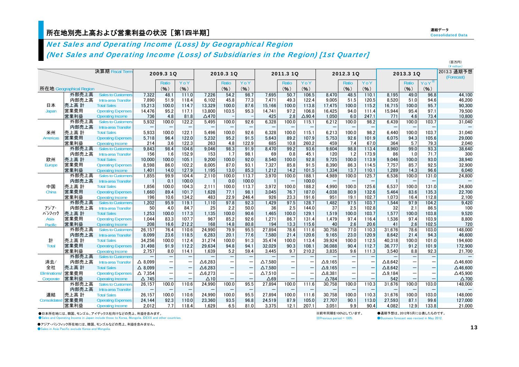### 所在地別売上高および営業利益の状況[第1四半期] しょうしょう しょうしょう しょうしょう しょうしょう しょうしょうしょう

# Net Sales and Operating Income (Loss) by Geographical Region (Net Sales and Operating Income (Loss) of Subsidiaries in the Region) [1st Quarter]

|                |                         |                                           |                   |                          |                          |                |                          |                          |                |                          |                          |                 |                          |                          |                   |                          |                          | (百万円)<br>(¥ million)      |
|----------------|-------------------------|-------------------------------------------|-------------------|--------------------------|--------------------------|----------------|--------------------------|--------------------------|----------------|--------------------------|--------------------------|-----------------|--------------------------|--------------------------|-------------------|--------------------------|--------------------------|---------------------------|
|                |                         | 決算期 Fiscal Term                           |                   | 2009.3 1Q                |                          |                | 2010.3 10                |                          |                | 2011.3 10                |                          |                 | 2012.3 10                |                          |                   | 2013.3 1Q                |                          | 2013.3 通期予想<br>(Forecast) |
|                |                         |                                           |                   | Ratio                    | YoY                      |                | Ratio                    | YoY                      |                | Ratio                    | YoY                      |                 | Ratio                    | YoY                      |                   | Ratio                    | Y o Y $^*$               |                           |
|                | 所在地 Geographical Region |                                           |                   | (9)                      | (%)                      |                | (%)                      | (%)                      |                | (% )                     | (%)                      |                 | (%)                      | (%)                      |                   | (9)                      | (%)                      |                           |
|                | 外部売上高                   | <b>Sales to Customers</b>                 | 7,322             | 48.1                     | 111.0                    | 7,226          | 54.2                     | 98.7                     | 7.695          | 50.7                     | 106.5                    | 8,470           | 48.5                     | 110.1                    | 8.195             | 49.0                     | 96.8                     | 44,100                    |
|                | 内部売上高                   | Intra-area Transfer                       | 7.890             | 51.9                     | 118.4                    | 6.102          | 45.8                     | 77.3                     | 7.471          | 49.3                     | 122.4                    | 9,005           | 51.5                     | 120.5                    | 8.520             | 51.0                     | 94.6                     | 46,200                    |
| 日本             | 売上高 計                   | <b>Total Sales</b>                        | 15,213            | 100.0                    | 114.7                    | 13,329         | 100.0                    | 87.6                     | 15,166         | 100.0                    | 113.8                    | 17,475          | 100.0                    | 115.2                    | 16,715            | 100.0                    | 95.7                     | 90,300                    |
| Japan          | 営業費用                    | <b>Operating Expenses</b>                 | 14,476            | 95.2                     | 117.1                    | 13,800         | 103.5                    | 95.3                     | 14,741         | 97.2                     | 106.8                    | 16,425          | 94.0                     | 111.4                    | 15,944            | 95.4                     | 97.1                     | 79,500                    |
|                | 営業利益                    | <b>Operating Income</b>                   | 736               | 4.8                      | 81.8                     | $\Delta$ 470   |                          |                          | 425            | 2.8                      | $\triangle$ 90.4         | 1,050           | 6.0                      | 247.1                    | 771               | 4.6                      | 73.4                     | 10,800                    |
|                | 外部売上高                   | Sales to Customers                        | 5,932             | 100.0                    | 122.2                    | 5,495          | 100.0                    | 92.6                     | 6,328          | 100.0                    | 115.1                    | 6,212           | 100.0                    | 98.2                     | 6,439             | 100.0                    | 103.7                    | 31.040                    |
|                | 内部売上高                   | Intra-area Transfer                       |                   | $\qquad \qquad -$        | $\qquad \qquad -$        |                |                          | $\overline{\phantom{0}}$ |                |                          | $\qquad \qquad -$        |                 | $\overline{\phantom{0}}$ | $\overline{\phantom{0}}$ |                   | $\qquad \qquad -$        |                          |                           |
| 米州             | 売上高 計                   | <b>Total Sales</b>                        | 5,933             | 100.0                    | 122.1                    | 5.496          | 100.0                    | 92.6                     | 6.328          | 100.0                    | 115.1                    | 6,213           | 100.0                    | 98.2                     | 6.440             | 100.0                    | 103.7                    | 31,040                    |
| Americas       | 営業費用                    | <b>Operating Expenses</b>                 | 5.718             | 96.4                     | 122.0                    | 5.232          | 95.2                     | 91.5                     | 5.643          | 89.2                     | 107.9                    | 5.753           | 92.6                     | 101.9                    | 6.075             | 94.3                     | 105.6                    | 29,000                    |
|                | 営業利益                    | <b>Operating Income</b>                   | 214               | 3.6                      | 122.3                    | 263            | 4.8                      | 122.9                    | 685            | 10.8                     | 260.2                    | 459             | 7.4                      | 67.0                     | 364               | 5.7                      | 79.3                     | 2,040                     |
|                | 外部売上高                   | <b>Sales to Customers</b>                 | 9,843             | 98.4                     | 104.6                    | 9.046          | 98.3                     | 91.9                     | 8.470          | 99.2                     | 93.6                     | 9.604           | 98.8                     | 113.4                    | 8.960             | 99.0                     | 93.3                     | 38.640                    |
|                | 内部売上高                   | Intra-area Transfer                       | 156               | 1.6                      | 152.9                    | 153            | 1.7                      | 98.1                     | 69             | 0.8                      | 45.1                     | 120             | 1.2                      | 173.9                    | 86                | 1.0                      | 71.7                     | 300                       |
| 欧州             | 売上高 計                   | <b>Total Sales</b>                        | 10,000            | 100.0                    | 105.1                    | 9.200          | 100.0                    | 92.0                     | 8.540          | 100.0                    | 92.8                     | 9,725           | 100.0                    | 113.9                    | 9.046             | 100.0                    | 93.0                     | 38,940                    |
| Europe         | 営業費用                    | <b>Operating Expenses</b>                 | 8,598             | 86.0                     | 102.2                    | 8.005          | 87.0                     | 93.1                     | 7,327          | 85.8                     | 91.5                     | 8,390           | 86.3                     | 114.5                    | 7,757             | 85.7                     | 92.5                     | 32,900                    |
|                | 営業利益                    | Operating Income                          | 1.401             | 14.0                     | 127.9                    | 1.195          | 13.0                     | 85.3                     | 1.212          | 14.2                     | 101.5                    | 1.334           | 13.7                     | 110.1                    | 1.289             | 14.3                     | 96.6                     | 6.040                     |
|                | 外部売上高                   | <b>Sales to Customers</b>                 | 1,855             | 99.9                     | 104.4                    | 2,110          | 100.0                    | 113.7                    | 3,970          | 100.0                    | 188.1                    | 4,989           | 100.0                    | 125.7                    | 6,536             | 100.0                    | 131.0                    | 24,800                    |
|                | 内部売上高                   | Intra-area Transfer                       |                   | 0.1                      | 100.0                    |                | 0.0                      | 100.0                    | -1             |                          | 100.0                    |                 | $\overline{\phantom{0}}$ | $\qquad \qquad -$        |                   | $\qquad \qquad -$        |                          |                           |
| 中国             | 売上高 計                   | <b>Total Sales</b>                        | 1,856             | 100.0                    | 104.3                    | 2,111          | 100.0                    | 113.7                    | 3,972          | 100.0                    | 188.2                    | 4.990           | 100.0                    | 125.6                    | 6.537             | 100.0                    | 131.0                    | 24,800                    |
| China          | 営業費用                    | <b>Operating Expenses</b>                 | 1.660             | 89.4                     | 101.7                    | 1.628          | 77.1                     | 98.1                     | 3.045          | 76.7                     | 187.0                    | 4.038           | 80.9                     | 132.6                    | 5.464             | 83.6                     | 135.3                    | 22,700                    |
|                | 営業利益                    | <b>Operating Income</b>                   | 196               | 10.6                     | 134.2                    | 483            | 22.9                     | 246.4                    | 926            | 23.3                     | 191.6                    | 951             | 19.1                     | 102.7                    | 1.073             | 16.4                     | 112.8                    | 2,100                     |
|                | 外部売上高                   | <b>Sales to Customers</b>                 | 1,202             | 95.9                     | 119.1                    | 1,110          | 97.8                     | 92.3                     | 1,429          | 97.5                     | 128.7                    | 1,482           | 97.5                     | 103.7                    | 1.544             | 97.9                     | 104.2                    | 9,420                     |
| アジア・<br>パシフィック | 内部売上高                   | Intra-area Transfer<br><b>Total Sales</b> | 50                | 4.0                      | 84.7                     | 25             | 2.2                      | 50.0                     | 36             | 2.5                      | 144.0                    | 37              | 2.5                      | 102.8                    | 32                | 2.1                      | 86.5                     | 100                       |
| Asia-          | 売上高 計<br>営業費用           | <b>Operating Expenses</b>                 | 1,253<br>1,044    | 100.0<br>83.3            | 117.3<br>107.7           | 1,135<br>967   | 100.0<br>85.2            | 90.6<br>92.6             | 1.465<br>1,271 | 100.0<br>86.7            | 129.1<br>131.4           | 1,519<br>1,479  | 100.0<br>97.4            | 103.7<br>116.4           | 1,577<br>1,536    | 100.0<br>97.4            | 103.8<br>103.9           | 9,520<br>8,800            |
| Pacific        | 営業利益                    | <b>Operating Income</b>                   | 208               | 16.6                     | 212.2                    | 168            | 14.8                     | 80.8                     | 194            | 13.3                     | 115.6                    | 40              | 2.6                      | 20.6                     | 41                | 2.6                      | 102.5                    | 720                       |
|                | 外部売上高                   | <b>Sales to Customers</b>                 | 26,157            | 76.4                     | 110.6                    | 24,990         | 79.9                     | 95.5                     | 27,894         | 78.6                     | 111.6                    | 30,758          | 77.0                     | 110.3                    | 31,676            | 78.6                     | 103.0                    | 148,000                   |
|                | 内部売上高                   | Intra-area Transfer                       | 8,099             | 23.6                     | 118.5                    | 6,283          | 20.1                     | 77.6                     | 7.580          | 21.4                     | 120.6                    | 9,165           | 23.0                     | 120.9                    | 8.642             | 21.4                     | 94.3                     | 46,600                    |
| 計              | 売上高 計                   | <b>Total Sales</b>                        | 34,256            | 100.0                    | 112.4                    | 31,274         | 100.0                    | 91.3                     | 35,474         | 100.0                    | 113.4                    | 39,924          | 100.0                    | 112.5                    | 40,318            | 100.0                    | 101.0                    | 194,600                   |
| <b>Total</b>   | 営業費用                    | <b>Operating Expenses</b>                 | 31,498            | 91.9                     | 112.2                    | 29,634         | 94.8                     | 94.1                     | 32,029         | 90.3                     | 108.1                    | 36,088          | 90.4                     | 112.7                    | 36,777            | 91.2                     | 101.9                    | 172,900                   |
|                | 営業利益                    | <b>Operating Income</b>                   | 2.757             | 8.0                      | 114.1                    | 1.639          | 5.2                      | 59.4                     | 3.445          | 9.7                      | 210.2                    | 3.835           | 9.6                      | 111.3                    | 3.540             | 8.8                      | 92.3                     | 21,700                    |
|                | 外部売上高                   | <b>Sales to Customers</b>                 |                   | $\overline{\phantom{0}}$ | —                        |                |                          | $\overline{\phantom{0}}$ |                |                          | $\qquad \qquad -$        |                 |                          |                          |                   | —                        | $\overline{\phantom{0}}$ |                           |
| 消去/            | 内部売上高                   | Intra-area Transfer                       | $\triangle$ 8.099 | $\overline{\phantom{m}}$ | $\overline{\phantom{m}}$ | $\Delta$ 6.283 | $\overline{\phantom{m}}$ |                          | $\Delta$ 7.580 |                          | $\overline{\phantom{m}}$ | $\Delta$ 9.165  |                          |                          | $\triangle$ 8.642 | $\overline{\phantom{m}}$ |                          | $\Delta$ 46.600           |
| 全社             | 売上高 計                   | <b>Total Sales</b>                        | $\triangle$ 8.099 | $\overline{\phantom{0}}$ |                          | $\Delta$ 6,283 | $\equiv$                 | $\overline{a}$           | $\Delta$ 7,580 | $\overline{\phantom{m}}$ | $\equiv$                 | $\Delta$ 9,165  | $\overline{\phantom{0}}$ |                          | $\Delta$ 8,642    | $\overline{\phantom{0}}$ | $\qquad \qquad -$        | $\Delta$ 46,600           |
| Eliminations   | 営業費用                    | <b>Operating Expenses</b>                 | $\triangle$ 7.354 | $\overline{\phantom{m}}$ | $\overline{\phantom{m}}$ | $\Delta$ 6,273 |                          |                          | $\Delta$ 7.510 |                          | $\overline{\phantom{m}}$ | $\Delta$ 8,381  | $\overline{\phantom{m}}$ |                          | $\Delta$ 9.184    | $\overline{\phantom{m}}$ |                          | $\triangle$ 45,900        |
| Corporate      | 営業利益                    | <b>Operating Income</b>                   | $\triangle$ 745   |                          | $\qquad \qquad -$        | $\triangle$ 10 |                          | $\overline{\phantom{0}}$ | $\triangle$ 69 |                          |                          | $\triangle$ 784 |                          |                          | 542               | $\equiv$                 |                          | $\triangle$ 700           |
|                | 外部売上高                   | <b>Sales to Customers</b>                 | 26,157            | 100.0                    | 110.6                    | 24,990         | 100.0                    | 95.5                     | 27,894         | 100.0                    | 111.6                    | 30,758          | 100.0                    | 110.3                    | 31,676            | 100.0                    | 103.0                    | 148,000                   |
|                | 内部売上高                   | Intra-area Transfer                       |                   |                          |                          |                |                          |                          |                |                          | $\qquad \qquad -$        |                 |                          |                          |                   | $\qquad \qquad -$        |                          |                           |
| 連結             | 売上高 計                   | <b>Total Sales</b>                        | 26.157            | 100.0                    | 110.6                    | 24,990         | 100.0                    | 95.5                     | 27.894         | 100.0                    | 111.6                    | 30.758          | 100.0                    | 110.3                    | 31.676            | 100.0                    | 103.0                    | 148.000                   |
| Consolidated   | 営業費用                    | <b>Operating Expenses</b>                 | 24,144            | 92.3                     | 110.0                    | 23,360         | 93.5                     | 96.8                     | 24,519         | 87.9                     | 105.0                    | 27,707          | 90.1                     | 113.0                    | 27,593            | 87.1                     | 99.6                     | 127,000                   |
|                | 営業利益                    | <b>Operating Income</b>                   | 2.012             | 7.7                      | 118.4                    | 1.629          | 6.5                      | 81.0                     | 3.375          | 12.1                     | 207.1                    | 3.051           | 9.9                      | 90.4                     | 4.082             | 12.9                     | 133.8                    | 21,000                    |

●日本所在地には、韓国、モンゴル、アイデックス社向けなどの売上、利益を含みます。

●Sales and Operating Income in Japan include those to Korea, Mongolia, IDEXX and other countries.

※前年同期を100%としています。 ●通期予想は、2012年5月に公表したものです。 ※Previous period = 100% ●Business forecast was revised in May 2012.

●アジア・パシフィック所在地には、韓国、モンゴルなどの売上、利益を含みません。

● Sales in Asia Pacific exclude Korea and Mongolia.

13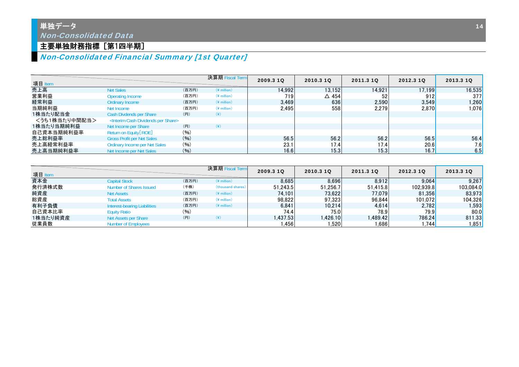# 単独データ Non-Consolidated Data

## 主要単独財務指標[第1四半期]

# Non-Consolidated Financial Summary [1st Quarter]

| 項目 Item       |                                                          |       | 決算期 Fiscal Term | 2009.3 10 | 2010.3 1Q       | 2011.3 10 | 2012.3 10 | 2013.3 10 |
|---------------|----------------------------------------------------------|-------|-----------------|-----------|-----------------|-----------|-----------|-----------|
| 売上高           | <b>Net Sales</b>                                         | (百万円) | $(*)$ million)  | 14,992    | 13.152          | 14.921    | 17.199    | 16,535    |
| 営業利益          | Operating Income                                         | (百万円) | $(*$ million)   | 719       | $\triangle$ 454 | 52        | 912       | 377       |
| 経常利益          | Ordinary Income                                          | (百万円) | $(*$ million)   | 3.469     | 636             | 2.590     | 3.549     | 1,260     |
| 当期純利益         | Net Income                                               | (百万円) | $(*$ million)   | 2.495     | 558             | 2.279     | 2.870     | 1.076     |
| 1株当たり配当金      | Cash Divdends per Share                                  | (円)   | $(\c{4})$       |           |                 |           |           |           |
| <うち1株当たり中間配当> | <interim cash="" dividends="" per="" share=""></interim> |       |                 |           |                 |           |           |           |
| 1株当たり当期純利益    | Net Income per Share                                     | (円)   | $(\c{4})$       |           |                 |           |           |           |
| 自己資本当期純利益率    | Return on Equity [ROE]                                   | (96)  |                 |           |                 |           |           |           |
| 売上総利益率        | <b>Gross Profit per Net Sales</b>                        | (96)  |                 | 56.5      | 56.2            | 56.2      | 56.5      | 56.4      |
| 売上高経常利益率      | Ordinary Income per Net Sales                            | (96)  |                 | 23.1      | 17.4            | 17.4      | 20.6      | 7.6       |
| 売上高当期純利益率     | Net Income per Net Sales                                 | (96)  |                 | 16.6      | 15.3            | 15.3      | 16.7      | 6.5       |

| 項目 Item  |                              |       | 決算期 Fiscal Term   | 2009.3 10 | 2010.3 10 | 2011.3 10 | 2012.3 10 | 2013.3 10 |
|----------|------------------------------|-------|-------------------|-----------|-----------|-----------|-----------|-----------|
| 資本金      | <b>Capital Stock</b>         | (百万円) | $(*)$ million)    | 8.685     | 8.696     | 8.912     | 9.064     | 9,267     |
| 発行済株式数   | Number of Shares Issued      | (千株)  | (thousand shares) | 51.243.5  | 51.256.7  | 51.415.8  | 102.939.8 | 103,084.0 |
| 純資産      | <b>Net Assets</b>            | (百万円) | $(*)$ million)    | 74.101    | 73.622    | 77.079    | 81.356    | 83,973    |
| 総資産      | <b>Total Assets</b>          | (百万円) | $(*)$ million)    | 98.822    | 97.323    | 96.844    | 101.072   | 104,326   |
| 有利子負債    | Interest-bearing Liabilities | (百万円) | $(*)$ million)    | 6,841     | 10.214    | 4.614     | 2.782     | 1,593     |
| 自己資本比率   | <b>Equity Ratio</b>          | (96)  |                   | 74.4      | 75.0      | 78.9      | 79.9      | 80.0      |
| 1株当たり純資産 | Net Assets per Share         | (H)   | $(*)$             | 1.437.53  | .426.10   | .489.42   | 786.24    | 811.33    |
| 従業員数     | <b>Number of Employees</b>   |       |                   | .456      | .520      | ا 686. ا  | 1.744     | l.851     |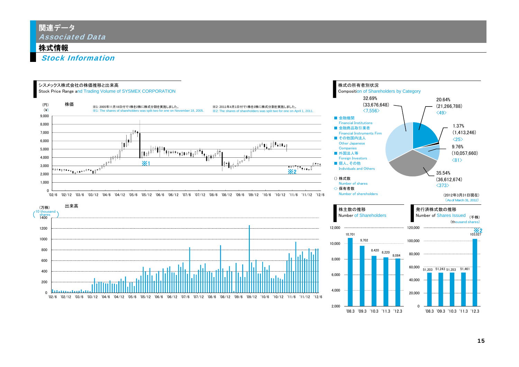# 関連データ Associated Data

### 株式情報

Stock Information

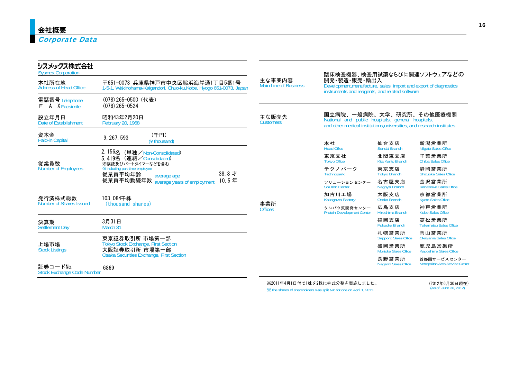| 〒651-0073 兵庫県神戸市中央区脇浜海岸通1丁目5番1号                             | 主な事業内容<br><b>Main Line of Business</b>                                                                                                                                             | 開発·製造·販売·輸出入<br>Development, manufacture, sales, import and export of diagnostics |                                      |                                                                                                                                                                                                                                                                           |  |  |  |
|-------------------------------------------------------------|------------------------------------------------------------------------------------------------------------------------------------------------------------------------------------|-----------------------------------------------------------------------------------|--------------------------------------|---------------------------------------------------------------------------------------------------------------------------------------------------------------------------------------------------------------------------------------------------------------------------|--|--|--|
| (078) 265-0500 (代表)<br>$(078)$ 265-0524                     |                                                                                                                                                                                    |                                                                                   |                                      |                                                                                                                                                                                                                                                                           |  |  |  |
| 昭和43年2月20日<br><b>February 20, 1968</b>                      | 主な販売先<br><b>Customers</b>                                                                                                                                                          |                                                                                   |                                      |                                                                                                                                                                                                                                                                           |  |  |  |
| (千円)<br>9, 267, 593<br>(¥ thousand)                         |                                                                                                                                                                                    | 本社                                                                                | 仙台支店                                 | 新潟営業所                                                                                                                                                                                                                                                                     |  |  |  |
| 2,156名 (単独/Non-Consolidated)<br>5.419名 (連結/Consolidated)    |                                                                                                                                                                                    | 東京支社<br><b>Tokyo Office</b>                                                       | 北関東支店<br>Kita Kanto Branch           | Niigata Sales Office<br>千葉営業所<br><b>Chiba Sales Office</b>                                                                                                                                                                                                                |  |  |  |
| <b>XIncluding part-time employee</b><br>38.8才               |                                                                                                                                                                                    | テクノパーク<br>Technopark                                                              | 東京支店<br><b>Tokyo Branch</b>          | 静岡営業所<br>Shizuoka Sales Office                                                                                                                                                                                                                                            |  |  |  |
| 10.5年                                                       |                                                                                                                                                                                    | ソリューションセンター<br><b>Solution Center</b>                                             | 名古屋支店                                | 金沢営業所<br>Kanazawa Sales Office                                                                                                                                                                                                                                            |  |  |  |
| 103.084千株                                                   |                                                                                                                                                                                    | 加古川工場<br>Kakogawa Factory                                                         | 大阪支店<br><b>Osaka Branch</b>          | 京都営業所<br><b>Kyoto Sales Office</b>                                                                                                                                                                                                                                        |  |  |  |
|                                                             | <b>Offices</b>                                                                                                                                                                     | タンパク質開発センター<br><b>Protein Development Center</b>                                  | 広島支店<br>Hiroshima Branch             | 神戸営業所<br><b>Kobe Sales Office</b>                                                                                                                                                                                                                                         |  |  |  |
| 3月31日                                                       |                                                                                                                                                                                    |                                                                                   | 福岡支店<br><b>Fukuoka Branch</b>        | 高松営業所<br><b>Takamatsu Sales Office</b>                                                                                                                                                                                                                                    |  |  |  |
|                                                             |                                                                                                                                                                                    |                                                                                   | 札幌営業所<br><b>Sapporo Sales Office</b> | 岡山営業所<br>Okayama Sales Office                                                                                                                                                                                                                                             |  |  |  |
| <b>Tokyo Stock Exchange, First Section</b><br>大阪証券取引所 市場第一部 |                                                                                                                                                                                    |                                                                                   | 盛岡営業所<br>Morioka Sales Office        | 鹿児島営業所<br>Kagoshima Sales Office                                                                                                                                                                                                                                          |  |  |  |
| 6869                                                        |                                                                                                                                                                                    |                                                                                   | 長野営業所<br>Nagano Sales Office         | 首都圏サービスセンター<br>Metropolitan Area Service Center                                                                                                                                                                                                                           |  |  |  |
|                                                             | ※嘱託及びパートタイマーなどを含む<br>従業員平均年齢<br>average age<br>従業員平均勤続年数 average years of employment<br>(thousand shares)<br>March 31<br>東京証券取引所 市場第一部<br>Osaka Securities Exchange, First Section | 1-5-1, Wakinohama-Kaigandori, Chuo-ku, Kobe, Hyogo 651-0073, Japan<br>事業所         | <b>Head Office</b>                   | 臨床検査機器、検査用試薬ならびに関連ソフトウェアなどの<br>instruments and reagents, and related software<br>国立病院、一般病院、大学、研究所、その他医療機関<br>National and public hospitals, general hospitals,<br>and other medical institutions, universities, and research institutes<br>Sendai Branch<br>Nagoya Branch |  |  |  |

※2011年4月1日付で1株を2株に株式分割を実施しました。 ※The shares of shareholders was split two for one on April 1, 2011.

(2012年6月30日現在) (As of June 30, 2012)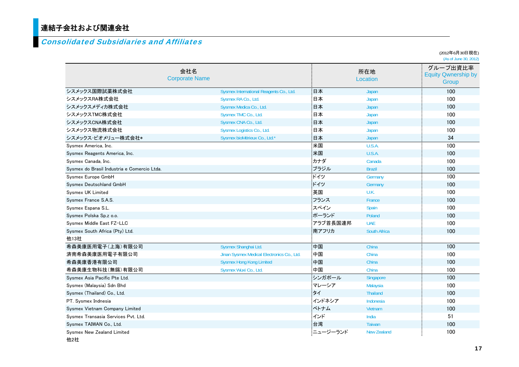# 連結子会社および関連会社 <sup>1</sup>

### Consolidated Subsidiaries and Affiliates

|                                             |                                            |          |                     | (∠∪⊥∠—⊤∪ノ ; J∪ ;;; ⊿), ;⊥_<br>(As of June 30, 2012) |
|---------------------------------------------|--------------------------------------------|----------|---------------------|-----------------------------------------------------|
|                                             | 会社名<br><b>Corporate Name</b>               |          | 所在地<br>Location     | グループ出資比率<br><b>Equity Qwnership by</b><br>Group     |
| シスメックス国際試薬株式会社                              | Sysmex International Reagents Co., Ltd.    | 日本       | Japan               | 100                                                 |
| シスメックスRA株式会社                                | Sysmex RA Co., Ltd.                        | 日本       | Japan               | 100                                                 |
| シスメックスメディカ株式会社                              | Sysmex Medica Co., Ltd.                    | 日本       | Japan               | 100                                                 |
| シスメックスTMC株式会社                               | Sysmex TMC Co., Ltd.                       | 日本       | Japan               | 100                                                 |
| シスメックスCNA株式会社                               | Sysmex CNA Co., Ltd.                       | 日本       | Japan               | 100                                                 |
| シスメックス物流株式会社                                | Sysmex Logistics Co., Ltd.                 | 日本       | Japan               | 100                                                 |
| シスメックス・ビオメリュー株式会社*                          | Sysmex bioMérieux Co., Ltd.*               | :日本      | <b>Japan</b>        | 34                                                  |
| Sysmex America, Inc.                        |                                            | 米国       | U.S.A.              | 100                                                 |
| Sysmex Reagents America, Inc.               |                                            | :米国      | U.S.A.              | 100                                                 |
| Sysmex Canada, Inc.                         |                                            | カナダ      | Canada              | 100                                                 |
| Sysmex do Brasil Industria e Comercio Ltda. |                                            | ブラジル     | <b>Brazil</b>       | 100                                                 |
| Sysmex Europe GmbH                          |                                            | ドイツ      | Germany             | 100                                                 |
| Sysmex Deutschland GmbH                     |                                            | ドイツ      | Germany             | 100                                                 |
| Sysmex UK Limited                           |                                            | :英国      | U.K.                | 100                                                 |
| Sysmex France S.A.S.                        |                                            | フランス     | France              | 100                                                 |
| Sysmex Espana S.L.                          |                                            | スペイン     | Spain               | 100                                                 |
| Sysmex Polska Sp.z o.o.                     |                                            | ポーランド    | Poland              | 100                                                 |
| Sysmex Middle East FZ-LLC                   |                                            | アラブ首長国連邦 | <b>UAE</b>          | 100                                                 |
| Sysmex South Africa (Pty) Ltd.              |                                            | 南アフリカ    | <b>South Africa</b> | 100                                                 |
| 他13社                                        |                                            |          |                     |                                                     |
| 希森美康医用電子(上海)有限公司                            | Sysmex Shanghai Ltd.                       | 中国       | China               | 100                                                 |
| 済南希森美康医用電子有限公司                              | Jinan Sysmex Medical Electronics Co., Ltd. | :中国      | China               | 100                                                 |
| 希森美康香港有限公司                                  | <b>Sysmex Hong Kong Limited</b>            | 中国       | China               | 100                                                 |
| 希森美康生物科技(無錫)有限公司                            | Sysmex Wuxi Co., Ltd.                      | 中国       | China               | 100                                                 |
| Sysmex Asia Pacific Pte Ltd.                |                                            | シンガポール   | Singapore           | 100                                                 |
| Sysmex (Malaysia) Sdn Bhd                   |                                            | マレーシア    | Malaysia            | 100                                                 |
| Sysmex (Thailand) Co., Ltd.                 |                                            | タイ       | <b>Thailand</b>     | 100                                                 |
| PT. Sysmex Indnesia                         |                                            | インドネシア   | Indonesia           | 100                                                 |
| Sysmex Vietnam Company Limited              |                                            | ベトナム     | <b>Vietnam</b>      | 100                                                 |
| Sysmex Transasia Services Pvt. Ltd.         |                                            | インド      | India               | 51                                                  |
| Sysmex TAIWAN Co., Ltd.                     |                                            | 台湾       | <b>Taiwan</b>       | 100                                                 |
| Sysmex New Zealand Limited<br>他2社           |                                            | ニュージーランド | <b>New Zealand</b>  | 100                                                 |

(2012年6月30日現在)